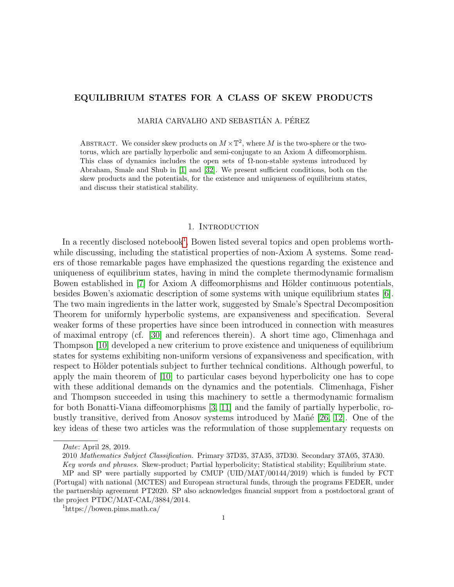# EQUILIBRIUM STATES FOR A CLASS OF SKEW PRODUCTS

MARIA CARVALHO AND SEBASTIÁN A. PÉREZ

ABSTRACT. We consider skew products on  $M \times \mathbb{T}^2$ , where M is the two-sphere or the twotorus, which are partially hyperbolic and semi-conjugate to an Axiom A diffeomorphism. This class of dynamics includes the open sets of  $\Omega$ -non-stable systems introduced by Abraham, Smale and Shub in [\[1\]](#page-21-0) and [\[32\]](#page-22-0). We present sufficient conditions, both on the skew products and the potentials, for the existence and uniqueness of equilibrium states, and discuss their statistical stability.

#### 1. INTRODUCTION

In a recently disclosed notebook<sup>[1](#page-0-0)</sup>, Bowen listed several topics and open problems worthwhile discussing, including the statistical properties of non-Axiom A systems. Some readers of those remarkable pages have emphasized the questions regarding the existence and uniqueness of equilibrium states, having in mind the complete thermodynamic formalism Bowen established in [\[7\]](#page-21-1) for Axiom A diffeomorphisms and Hölder continuous potentials, besides Bowen's axiomatic description of some systems with unique equilibrium states [\[6\]](#page-21-2). The two main ingredients in the latter work, suggested by Smale's Spectral Decomposition Theorem for uniformly hyperbolic systems, are expansiveness and specification. Several weaker forms of these properties have since been introduced in connection with measures of maximal entropy (cf. [\[30\]](#page-22-1) and references therein). A short time ago, Climenhaga and Thompson [\[10\]](#page-21-3) developed a new criterium to prove existence and uniqueness of equilibrium states for systems exhibiting non-uniform versions of expansiveness and specification, with respect to Hölder potentials subject to further technical conditions. Although powerful, to apply the main theorem of [\[10\]](#page-21-3) to particular cases beyond hyperbolicity one has to cope with these additional demands on the dynamics and the potentials. Climenhaga, Fisher and Thompson succeeded in using this machinery to settle a thermodynamic formalism for both Bonatti-Viana diffeomorphisms [\[3,](#page-21-4) [11\]](#page-21-5) and the family of partially hyperbolic, robustly transitive, derived from Anosov systems introduced by Ma $\tilde{n}$ e [\[26,](#page-22-2) [12\]](#page-21-6). One of the key ideas of these two articles was the reformulation of those supplementary requests on

Date: April 28, 2019.

<sup>2010</sup> Mathematics Subject Classification. Primary 37D35, 37A35, 37D30. Secondary 37A05, 37A30.

Key words and phrases. Skew-product; Partial hyperbolicity; Statistical stability; Equilibrium state.

MP and SP were partially supported by CMUP (UID/MAT/00144/2019) which is funded by FCT (Portugal) with national (MCTES) and European structural funds, through the programs FEDER, under the partnership agreement PT2020. SP also acknowledges financial support from a postdoctoral grant of the project PTDC/MAT-CAL/3884/2014.

<span id="page-0-0"></span><sup>1</sup>https://bowen.pims.math.ca/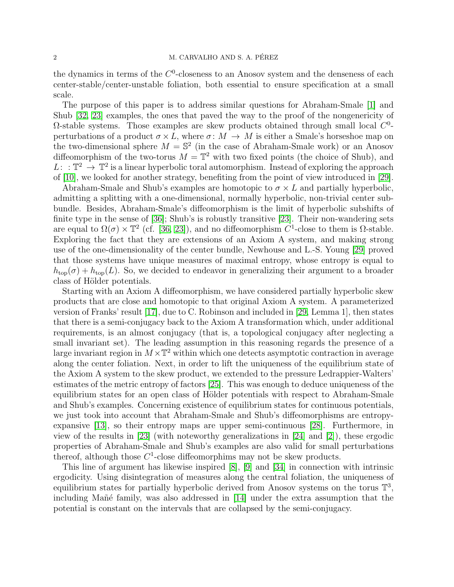the dynamics in terms of the  $C^0$ -closeness to an Anosov system and the denseness of each center-stable/center-unstable foliation, both essential to ensure specification at a small scale.

The purpose of this paper is to address similar questions for Abraham-Smale [\[1\]](#page-21-0) and Shub [\[32,](#page-22-0) [23\]](#page-21-7) examples, the ones that paved the way to the proof of the nongenericity of  $\Omega$ -stable systems. Those examples are skew products obtained through small local  $C^0$ perturbations of a product  $\sigma \times L$ , where  $\sigma \colon M \to M$  is either a Smale's horseshoe map on the two-dimensional sphere  $M = \mathbb{S}^2$  (in the case of Abraham-Smale work) or an Anosov diffeomorphism of the two-torus  $M = \mathbb{T}^2$  with two fixed points (the choice of Shub), and  $L: \mathbb{T}^2 \to \mathbb{T}^2$  is a linear hyperbolic toral automorphism. Instead of exploring the approach of [\[10\]](#page-21-3), we looked for another strategy, benefiting from the point of view introduced in [\[29\]](#page-22-3).

Abraham-Smale and Shub's examples are homotopic to  $\sigma \times L$  and partially hyperbolic, admitting a splitting with a one-dimensional, normally hyperbolic, non-trivial center subbundle. Besides, Abraham-Smale's diffeomorphism is the limit of hyperbolic subshifts of finite type in the sense of [\[36\]](#page-22-4); Shub's is robustly transitive [\[23\]](#page-21-7). Their non-wandering sets are equal to  $\Omega(\sigma) \times \mathbb{T}^2$  (cf. [\[36,](#page-22-4) [23\]](#page-21-7)), and no diffeomorphism  $C^1$ -close to them is  $\Omega$ -stable. Exploring the fact that they are extensions of an Axiom A system, and making strong use of the one-dimensionality of the center bundle, Newhouse and L.-S. Young [\[29\]](#page-22-3) proved that those systems have unique measures of maximal entropy, whose entropy is equal to  $h_{\text{top}}(\sigma) + h_{\text{top}}(L)$ . So, we decided to endeavor in generalizing their argument to a broader class of Hölder potentials.

Starting with an Axiom A diffeomorphism, we have considered partially hyperbolic skew products that are close and homotopic to that original Axiom A system. A parameterized version of Franks' result [\[17\]](#page-21-8), due to C. Robinson and included in [\[29,](#page-22-3) Lemma 1], then states that there is a semi-conjugacy back to the Axiom A transformation which, under additional requirements, is an almost conjugacy (that is, a topological conjugacy after neglecting a small invariant set). The leading assumption in this reasoning regards the presence of a large invariant region in  $M \times \mathbb{T}^2$  within which one detects asymptotic contraction in average along the center foliation. Next, in order to lift the uniqueness of the equilibrium state of the Axiom A system to the skew product, we extended to the pressure Ledrappier-Walters' estimates of the metric entropy of factors [\[25\]](#page-21-9). This was enough to deduce uniqueness of the equilibrium states for an open class of Hölder potentials with respect to Abraham-Smale and Shub's examples. Concerning existence of equilibrium states for continuous potentials, we just took into account that Abraham-Smale and Shub's diffeomorphisms are entropyexpansive [\[13\]](#page-21-10), so their entropy maps are upper semi-continuous [\[28\]](#page-22-5). Furthermore, in view of the results in [\[23\]](#page-21-7) (with noteworthy generalizations in [\[24\]](#page-21-11) and [\[2\]](#page-21-12)), these ergodic properties of Abraham-Smale and Shub's examples are also valid for small perturbations thereof, although those  $C^1$ -close diffeomorphims may not be skew products.

This line of argument has likewise inspired [\[8\]](#page-21-13), [\[9\]](#page-21-14) and [\[34\]](#page-22-6) in connection with intrinsic ergodicity. Using disintegration of measures along the central foliation, the uniqueness of equilibrium states for partially hyperbolic derived from Anosov systems on the torus  $\mathbb{T}^3$ , including Mañé family, was also addressed in  $[14]$  under the extra assumption that the potential is constant on the intervals that are collapsed by the semi-conjugacy.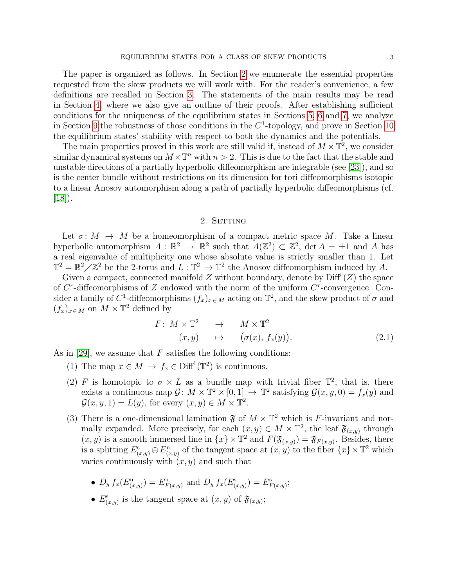The paper is organized as follows. In Section [2](#page-2-0) we enumerate the essential properties requested from the skew products we will work with. For the reader's convenience, a few definitions are recalled in Section [3.](#page-3-0) The statements of the main results may be read in Section [4,](#page-5-0) where we also give an outline of their proofs. After establishing sufficient conditions for the uniqueness of the equilibrium states in Sections [5,](#page-9-0) [6](#page-12-0) and [7,](#page-12-1) we analyze in Section [9](#page-17-0) the robustness of those conditions in the  $C<sup>1</sup>$ -topology, and prove in Section [10](#page-18-0) the equilibrium states' stability with respect to both the dynamics and the potentials.

The main properties proved in this work are still valid if, instead of  $M \times \mathbb{T}^2$ , we consider similar dynamical systems on  $M \times \mathbb{T}^n$  with  $n > 2$ . This is due to the fact that the stable and unstable directions of a partially hyperbolic diffeomorphism are integrable (see [\[23\]](#page-21-7)), and so is the center bundle without restrictions on its dimension for tori diffeomorphisms isotopic to a linear Anosov automorphism along a path of partially hyperbolic diffeomorphisms (cf.  $|18|$ ).

# 2. SETTING

<span id="page-2-0"></span>Let  $\sigma: M \to M$  be a homeomorphism of a compact metric space M. Take a linear hyperbolic automorphism  $A: \mathbb{R}^2 \to \mathbb{R}^2$  such that  $A(\mathbb{Z}^2) \subset \mathbb{Z}^2$ ,  $\det A = \pm 1$  and A has a real eigenvalue of multiplicity one whose absolute value is strictly smaller than 1. Let  $\mathbb{T}^2 = \mathbb{R}^2 \times \mathbb{Z}^2$  be the 2-torus and  $L : \mathbb{T}^2 \to \mathbb{T}^2$  the Anosov diffeomorphism induced by A.

Given a compact, connected manifold  $Z$  without boundary, denote by  $\text{Diff}^{r}(Z)$  the space of  $C^r$ -diffeomorphisms of Z endowed with the norm of the uniform  $C^r$ -convergence. Consider a family of C<sup>1</sup>-diffeomorphisms  $(f_x)_{x \in M}$  acting on  $\mathbb{T}^2$ , and the skew product of  $\sigma$  and  $(f_x)_{x \in M}$  on  $M \times T^2$  defined by

$$
F: M \times \mathbb{T}^2 \longrightarrow M \times \mathbb{T}^2
$$
  
( $x, y$ )  $\mapsto$  ( $\sigma(x), f_x(y)$ ). (2.1)

As in [\[29\]](#page-22-3), we assume that  $F$  satisfies the following conditions:

- (1) The map  $x \in M \to f_x \in \text{Diff}^1(\mathbb{T}^2)$  is continuous.
- (2) F is homotopic to  $\sigma \times L$  as a bundle map with trivial fiber  $\mathbb{T}^2$ , that is, there exists a continuous map  $\mathcal{G}: M \times \mathbb{T}^2 \times [0,1] \to \mathbb{T}^2$  satisfying  $\mathcal{G}(x,y,0) = f_x(y)$  and  $\mathcal{G}(x, y, 1) = L(y)$ , for every  $(x, y) \in M \times \mathbb{T}^2$ .
- (3) There is a one-dimensional lamination  $\mathfrak{F}$  of  $M \times \mathbb{T}^2$  which is F-invariant and normally expanded. More precisely, for each  $(x, y) \in M \times \mathbb{T}^2$ , the leaf  $\mathfrak{F}_{(x,y)}$  through  $(x, y)$  is a smooth immersed line in  $\{x\} \times \mathbb{T}^2$  and  $F(\mathfrak{F}_{(x,y)}) = \mathfrak{F}_{F(x,y)}$ . Besides, there is a splitting  $E_{(x,y)}^s \oplus E_{(x,y)}^u$  of the tangent space at  $(x, y)$  to the fiber  $\{x\} \times \mathbb{T}^2$  which varies continuously with  $(x, y)$  and such that
	- $D_y f_x(E_{(x,y)}^u) = E_{F(x,y)}^u$  and  $D_y f_x(E_{(x,y)}^s) = E_{F(x,y)}^s$ ;
	- $E_{(x,y)}^s$  is the tangent space at  $(x, y)$  of  $\mathfrak{F}_{(x,y)}$ ;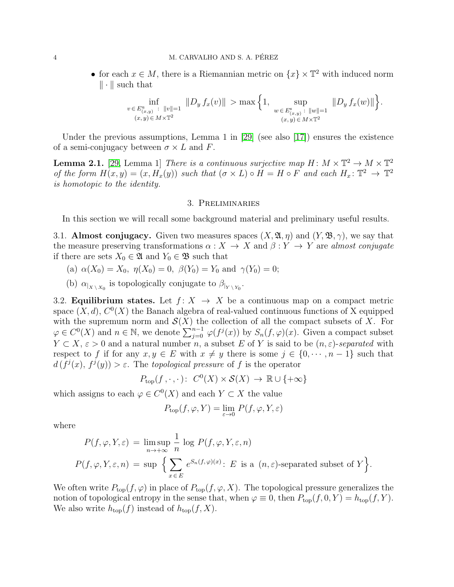### 4 M. CARVALHO AND S. A. PÉREZ

• for each  $x \in M$ , there is a Riemannian metric on  $\{x\} \times \mathbb{T}^2$  with induced norm  $\|\cdot\|$  such that

$$
\inf_{\substack{v \in E_{(x,y)}^u : ||v|| = 1 \ (x,y) \in M \times \mathbb{T}^2}} ||D_y f_x(v)|| > \max\left\{1, \sup_{\substack{w \in E_{(x,y)}^s : ||w|| = 1 \ (x,y) \in M \times \mathbb{T}^2}} ||D_y f_x(w)||\right\}.
$$

Under the previous assumptions, Lemma 1 in [\[29\]](#page-22-3) (see also [\[17\]](#page-21-8)) ensures the existence of a semi-conjugacy between  $\sigma \times L$  and F.

<span id="page-3-1"></span>**Lemma 2.1.** [\[29,](#page-22-3) Lemma 1] There is a continuous surjective map  $H: M \times \mathbb{T}^2 \to M \times \mathbb{T}^2$ of the form  $H(x,y) = (x, H_x(y))$  such that  $(\sigma \times L) \circ H = H \circ F$  and each  $H_x: \mathbb{T}^2 \to \mathbb{T}^2$ is homotopic to the identity.

## 3. Preliminaries

<span id="page-3-0"></span>In this section we will recall some background material and preliminary useful results.

3.1. Almost conjugacy. Given two measures spaces  $(X, \mathfrak{A}, \eta)$  and  $(Y, \mathfrak{B}, \gamma)$ , we say that the measure preserving transformations  $\alpha: X \to X$  and  $\beta: Y \to Y$  are almost conjugate if there are sets  $X_0 \in \mathfrak{A}$  and  $Y_0 \in \mathfrak{B}$  such that

- (a)  $\alpha(X_0) = X_0$ ,  $\eta(X_0) = 0$ ,  $\beta(Y_0) = Y_0$  and  $\gamma(Y_0) = 0$ ;
- (b)  $\alpha_{|X \setminus X_0}$  is topologically conjugate to  $\beta_{|Y \setminus Y_0}$ .

3.2. **Equilibrium states.** Let  $f: X \rightarrow X$  be a continuous map on a compact metric space  $(X, d)$ ,  $C^{0}(X)$  the Banach algebra of real-valued continuous functions of X equipped with the supremum norm and  $\mathcal{S}(X)$  the collection of all the compact subsets of X. For  $\varphi \in C^0(X)$  and  $n \in \mathbb{N}$ , we denote  $\sum_{j=0}^{n-1} \varphi(f^j(x))$  by  $S_n(f, \varphi)(x)$ . Given a compact subset  $Y \subset X, \varepsilon > 0$  and a natural number n, a subset E of Y is said to be  $(n, \varepsilon)$ -separated with respect to f if for any  $x, y \in E$  with  $x \neq y$  there is some  $j \in \{0, \dots, n-1\}$  such that  $d(f^{j}(x), f^{j}(y)) > \varepsilon$ . The topological pressure of f is the operator

$$
P_{\text{top}}(f, \cdot, \cdot) \colon C^0(X) \times \mathcal{S}(X) \to \mathbb{R} \cup \{+\infty\}
$$

which assigns to each  $\varphi \in C^0(X)$  and each  $Y \subset X$  the value

$$
P_{\text{top}}(f, \varphi, Y) = \lim_{\varepsilon \to 0} P(f, \varphi, Y, \varepsilon)
$$

where

$$
P(f, \varphi, Y, \varepsilon) = \limsup_{n \to +\infty} \frac{1}{n} \log P(f, \varphi, Y, \varepsilon, n)
$$
  

$$
P(f, \varphi, Y, \varepsilon, n) = \sup \left\{ \sum_{x \in E} e^{S_n(f, \varphi)(x)} \colon E \text{ is a } (n, \varepsilon) \text{-separated subset of } Y \right\}.
$$

We often write  $P_{top}(f, \varphi)$  in place of  $P_{top}(f, \varphi, X)$ . The topological pressure generalizes the notion of topological entropy in the sense that, when  $\varphi \equiv 0$ , then  $P_{top}(f, 0, Y) = h_{top}(f, Y)$ . We also write  $h_{\text{top}}(f)$  instead of  $h_{\text{top}}(f, X)$ .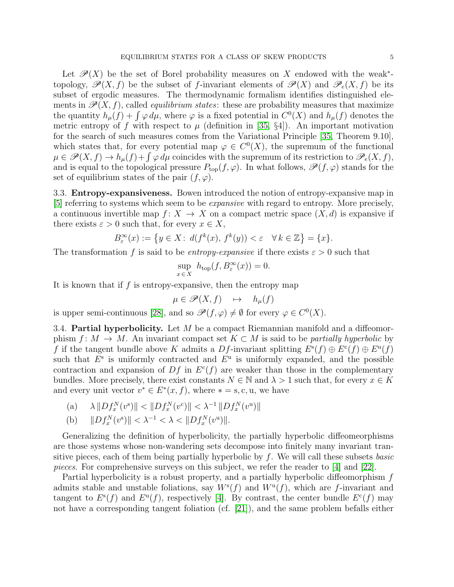Let  $\mathscr{P}(X)$  be the set of Borel probability measures on X endowed with the weak<sup>\*</sup>topology,  $\mathcal{P}(X, f)$  be the subset of f-invariant elements of  $\mathcal{P}(X)$  and  $\mathcal{P}_e(X, f)$  be its subset of ergodic measures. The thermodynamic formalism identifies distinguished elements in  $\mathscr{P}(X, f)$ , called *equilibrium states*: these are probability measures that maximize the quantity  $h_{\mu}(f) + \int \varphi \, d\mu$ , where  $\varphi$  is a fixed potential in  $C^{0}(X)$  and  $h_{\mu}(f)$  denotes the metric entropy of f with respect to  $\mu$  (definition in [\[35,](#page-22-7) §4]). An important motivation for the search of such measures comes from the Variational Principle [\[35,](#page-22-7) Theorem 9.10], which states that, for every potential map  $\varphi \in C^{0}(X)$ , the supremum of the functional  $\mu \in \mathscr{P}(X,f) \to h_{\mu}(f) + \int \varphi \, d\mu$  coincides with the supremum of its restriction to  $\mathscr{P}_e(X,f)$ , and is equal to the topological pressure  $P_{top}(f, \varphi)$ . In what follows,  $\mathscr{P}(f, \varphi)$  stands for the set of equilibrium states of the pair  $(f, \varphi)$ .

3.3. Entropy-expansiveness. Bowen introduced the notion of entropy-expansive map in [\[5\]](#page-21-17) referring to systems which seem to be expansive with regard to entropy. More precisely, a continuous invertible map  $f: X \to X$  on a compact metric space  $(X, d)$  is expansive if there exists  $\varepsilon > 0$  such that, for every  $x \in X$ ,

$$
B^\infty_\varepsilon(x):=\left\{y\in X\colon\,d(f^k(x),\,f^k(y))<\varepsilon\quad\forall\,k\in\mathbb{Z}\right\}=\{x\}.
$$

The transformation f is said to be entropy-expansive if there exists  $\varepsilon > 0$  such that

$$
\sup_{x \in X} h_{\text{top}}(f, B_{\varepsilon}^{\infty}(x)) = 0.
$$

It is known that if  $f$  is entropy-expansive, then the entropy map

$$
\mu \in \mathscr{P}(X,f) \quad \mapsto \quad h_{\mu}(f)
$$

is upper semi-continuous [\[28\]](#page-22-5), and so  $\mathscr{P}(f, \varphi) \neq \emptyset$  for every  $\varphi \in C^{0}(X)$ .

3.4. Partial hyperbolicity. Let  $M$  be a compact Riemannian manifold and a diffeomorphism  $f: M \to M$ . An invariant compact set  $K \subset M$  is said to be partially hyperbolic by f if the tangent bundle above K admits a Df-invariant splitting  $E^s(f) \oplus E^c(f) \oplus E^u(f)$ such that  $E^s$  is uniformly contracted and  $E^u$  is uniformly expanded, and the possible contraction and expansion of  $Df$  in  $E^c(f)$  are weaker than those in the complementary bundles. More precisely, there exist constants  $N \in \mathbb{N}$  and  $\lambda > 1$  such that, for every  $x \in K$ and every unit vector  $v^* \in E^*(x, f)$ , where  $* = s, c, u$ , we have

(a) 
$$
\lambda \|Df_x^N(v^s)\| < \|Df_x^N(v^c)\| < \lambda^{-1} \|Df_x^N(v^u)\|
$$

(b) 
$$
||Df_x^N(v^s)|| < \lambda^{-1} < \lambda < ||Df_x^N(v^u)||
$$
.

Generalizing the definition of hyperbolicity, the partially hyperbolic diffeomeorphisms are those systems whose non-wandering sets decompose into finitely many invariant transitive pieces, each of them being partially hyperbolic by  $f$ . We will call these subsets *basic* pieces. For comprehensive surveys on this subject, we refer the reader to [\[4\]](#page-21-18) and [\[22\]](#page-21-19).

Partial hyperbolicity is a robust property, and a partially hyperbolic diffeomorphism f admits stable and unstable foliations, say  $W^{s}(f)$  and  $W^{u}(f)$ , which are f-invariant and tangent to  $E^s(f)$  and  $E^u(f)$ , respectively [\[4\]](#page-21-18). By contrast, the center bundle  $E^c(f)$  may not have a corresponding tangent foliation (cf. [\[21\]](#page-21-20)), and the same problem befalls either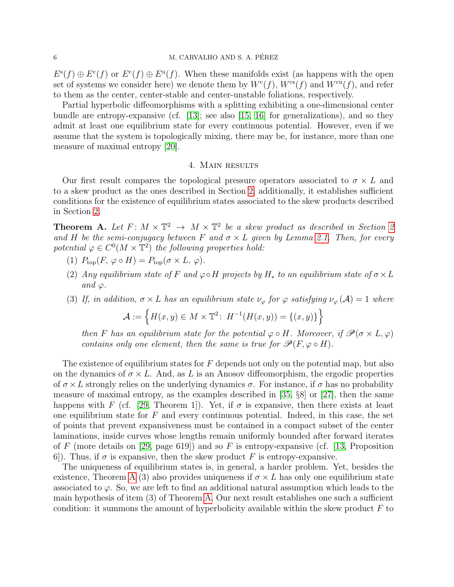## 6 M. CARVALHO AND S. A. PÉREZ

 $E^{\rm s}(f) \oplus E^{\rm c}(f)$  or  $E^{\rm c}(f) \oplus E^{\rm u}(f)$ . When these manifolds exist (as happens with the open set of systems we consider here) we denote them by  $W<sup>c</sup>(f)$ ,  $W<sup>cs</sup>(f)$  and  $W<sup>cu</sup>(f)$ , and refer to them as the center, center-stable and center-unstable foliations, respectively.

Partial hyperbolic diffeomorphisms with a splitting exhibiting a one-dimensional center bundle are entropy-expansive (cf.  $[13]$ ; see also  $[15, 16]$  $[15, 16]$  for generalizations), and so they admit at least one equilibrium state for every continuous potential. However, even if we assume that the system is topologically mixing, there may be, for instance, more than one measure of maximal entropy [\[20\]](#page-21-23).

# 4. Main results

<span id="page-5-0"></span>Our first result compares the topological pressure operators associated to  $\sigma \times L$  and to a skew product as the ones described in Section [2;](#page-2-0) additionally, it establishes sufficient conditions for the existence of equilibrium states associated to the skew products described in Section [2.](#page-2-0)

<span id="page-5-1"></span>**Theorem A.** Let  $F: M \times \mathbb{T}^2 \to M \times \mathbb{T}^2$  be a skew product as described in Section [2](#page-2-0) and H be the semi-conjugacy between F and  $\sigma \times L$  given by Lemma [2.1.](#page-3-1) Then, for every potential  $\varphi \in C^0(M \times \mathbb{T}^2)$  the following properties hold:

- (1)  $P_{\text{top}}(F, \varphi \circ H) = P_{\text{top}}(\sigma \times L, \varphi).$
- (2) Any equilibrium state of F and  $\varphi \circ H$  projects by  $H_*$  to an equilibrium state of  $\sigma \times L$ and  $\varphi$ .
- (3) If, in addition,  $\sigma \times L$  has an equilibrium state  $\nu_{\varphi}$  for  $\varphi$  satisfying  $\nu_{\varphi}(\mathcal{A}) = 1$  where

$$
\mathcal{A} := \left\{ H(x, y) \in M \times \mathbb{T}^2 \colon H^{-1}(H(x, y)) = \{(x, y)\}\right\}
$$

then F has an equilibrium state for the potential  $\varphi \circ H$ . Moreover, if  $\mathscr{P}(\sigma \times L, \varphi)$ contains only one element, then the same is true for  $\mathcal{P}(F, \varphi \circ H)$ .

The existence of equilibrium states for  $F$  depends not only on the potential map, but also on the dynamics of  $\sigma \times L$ . And, as L is an Anosov diffeomorphism, the ergodic properties of  $\sigma \times L$  strongly relies on the underlying dynamics  $\sigma$ . For instance, if  $\sigma$  has no probability measure of maximal entropy, as the examples described in [\[35,](#page-22-7)  $\S8$ ] or [\[27\]](#page-22-8), then the same happens with F (cf. [\[29,](#page-22-3) Theorem 1]). Yet, if  $\sigma$  is expansive, then there exists at least one equilibrium state for  $F$  and every continuous potential. Indeed, in this case, the set of points that prevent expansiveness must be contained in a compact subset of the center laminations, inside curves whose lengths remain uniformly bounded after forward iterates of F (more details on [\[29,](#page-22-3) page 619]) and so F is entropy-expansive (cf. [\[13,](#page-21-10) Proposition 6. 6. 6. 6. Thus, if  $\sigma$  is expansive, then the skew product F is entropy-expansive.

The uniqueness of equilibrium states is, in general, a harder problem. Yet, besides the existence, Theorem [A](#page-5-1) (3) also provides uniqueness if  $\sigma \times L$  has only one equilibrium state associated to  $\varphi$ . So, we are left to find an additional natural assumption which leads to the main hypothesis of item (3) of Theorem [A.](#page-5-1) Our next result establishes one such a sufficient condition: it summons the amount of hyperbolicity available within the skew product  $F$  to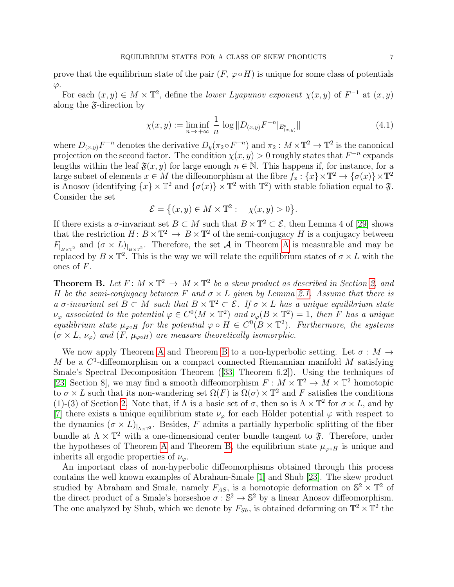prove that the equilibrium state of the pair  $(F, \varphi \circ H)$  is unique for some class of potentials  $\varphi$ .

For each  $(x, y) \in M \times \mathbb{T}^2$ , define the *lower Lyapunov exponent*  $\chi(x, y)$  of  $F^{-1}$  at  $(x, y)$ along the  $\tilde{\mathfrak{F}}$ -direction by

<span id="page-6-1"></span>
$$
\chi(x, y) := \liminf_{n \to +\infty} \frac{1}{n} \log \| D_{(x, y)} F^{-n} |_{E^s_{(x, y)}} \|
$$
\n(4.1)

where  $D_{(x,y)}F^{-n}$  denotes the derivative  $D_y(\pi_2 \circ F^{-n})$  and  $\pi_2: M \times \mathbb{T}^2 \to \mathbb{T}^2$  is the canonical projection on the second factor. The condition  $\chi(x, y) > 0$  roughly states that  $F^{-n}$  expands lengths within the leaf  $\mathfrak{F}(x, y)$  for large enough  $n \in \mathbb{N}$ . This happens if, for instance, for a large subset of elements  $x \in M$  the diffeomorphism at the fibre  $f_x: \{x\} \times \mathbb{T}^2 \to \{\sigma(x)\} \times \mathbb{T}^2$ is Anosov (identifying  $\{x\} \times \mathbb{T}^2$  and  $\{\sigma(x)\} \times \mathbb{T}^2$  with  $\mathbb{T}^2$ ) with stable foliation equal to  $\mathfrak{F}$ . Consider the set

$$
\mathcal{E} = \left\{ (x, y) \in M \times \mathbb{T}^2 : \quad \chi(x, y) > 0 \right\}.
$$

If there exists a  $\sigma$ -invariant set  $B \subset M$  such that  $B \times \mathbb{T}^2 \subset \mathcal{E}$ , then Lemma 4 of [\[29\]](#page-22-3) shows that the restriction  $H: B \times \mathbb{T}^2 \to B \times \mathbb{T}^2$  of the semi-conjugacy H is a conjugacy between  $F_{B\times T^2}$  and  $(\sigma \times L)_{B\times T^2}$ . Therefore, the set [A](#page-5-1) in Theorem A is measurable and may be replaced by  $B \times \mathbb{T}^2$ . This is the way we will relate the equilibrium states of  $\sigma \times L$  with the ones of F.

<span id="page-6-0"></span>**Theorem B.** Let  $F: M \times \mathbb{T}^2 \to M \times \mathbb{T}^2$  be a skew product as described in Section [2,](#page-2-0) and H be the semi-conjugacy between F and  $\sigma \times L$  given by Lemma [2.1.](#page-3-1) Assume that there is a  $\sigma$ -invariant set  $B \subset M$  such that  $B \times \mathbb{T}^2 \subset \mathcal{E}$ . If  $\sigma \times L$  has a unique equilibrium state  $\nu_{\varphi}$  associated to the potential  $\varphi \in C^{0}(M \times \mathbb{T}^{2})$  and  $\nu_{\varphi}(B \times \mathbb{T}^{2}) = 1$ , then F has a unique equilibrium state  $\mu_{\varphi \circ H}$  for the potential  $\varphi \circ H \in C^{0}(B \times \mathbb{T}^{2})$ . Furthermore, the systems  $(\sigma \times L, \nu_{\varphi})$  and  $(F, \mu_{\varphi \circ H})$  are measure theoretically isomorphic.

We now apply Theorem [A](#page-5-1) and Theorem [B](#page-6-0) to a non-hyperbolic setting. Let  $\sigma : M \to$ M be a  $C^1$ -diffeomorphism on a compact connected Riemannian manifold M satisfying Smale's Spectral Decomposition Theorem ([\[33,](#page-22-9) Theorem 6.2]). Using the techniques of [\[23,](#page-21-7) Section 8], we may find a smooth diffeomorphism  $F : M \times \mathbb{T}^2 \to M \times \mathbb{T}^2$  homotopic to  $\sigma \times L$  such that its non-wandering set  $\Omega(F)$  is  $\Omega(\sigma) \times \mathbb{T}^2$  and F satisfies the conditions (1)-(3) of Section [2.](#page-2-0) Note that, if  $\Lambda$  is a basic set of  $\sigma$ , then so is  $\Lambda \times \mathbb{T}^2$  for  $\sigma \times L$ , and by [\[7\]](#page-21-1) there exists a unique equilibrium state  $\nu_{\varphi}$  for each Hölder potential  $\varphi$  with respect to the dynamics  $(\sigma \times L)_{\vert_{\Lambda \times \mathbb{T}^2}}$ . Besides, F admits a partially hyperbolic splitting of the fiber bundle at  $\Lambda \times \mathbb{T}^2$  with a one-dimensional center bundle tangent to  $\mathfrak{F}$ . Therefore, under the hypotheses of Theorem [A](#page-5-1) and Theorem [B,](#page-6-0) the equilibrium state  $\mu_{\varphi \circ H}$  is unique and inherits all ergodic properties of  $\nu_{\varphi}$ .

An important class of non-hyperbolic diffeomorphisms obtained through this process contains the well known examples of Abraham-Smale [\[1\]](#page-21-0) and Shub [\[23\]](#page-21-7). The skew product studied by Abraham and Smale, namely  $F_{AS}$ , is a homotopic deformation on  $\mathbb{S}^2 \times \mathbb{T}^2$  of the direct product of a Smale's horseshoe  $\sigma : \mathbb{S}^2 \to \mathbb{S}^2$  by a linear Anosov diffeomorphism. The one analyzed by Shub, which we denote by  $F_{Sh}$ , is obtained deforming on  $\mathbb{T}^2 \times \mathbb{T}^2$  the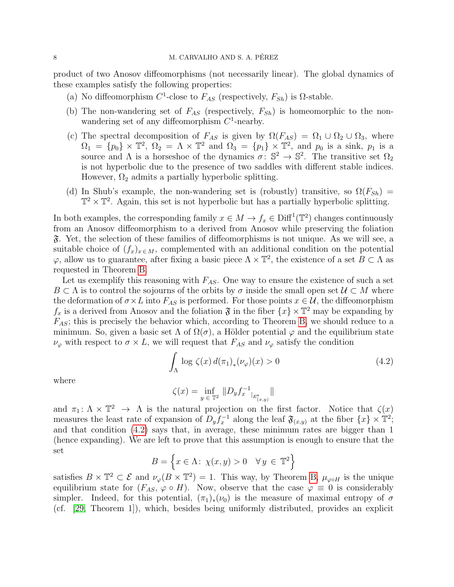product of two Anosov diffeomorphisms (not necessarily linear). The global dynamics of these examples satisfy the following properties:

- (a) No diffeomorphism  $C^1$ -close to  $F_{AS}$  (respectively,  $F_{Sh}$ ) is  $\Omega$ -stable.
- (b) The non-wandering set of  $F_{AS}$  (respectively,  $F_{Sh}$ ) is homeomorphic to the nonwandering set of any diffeomorphism  $C<sup>1</sup>$ -nearby.
- (c) The spectral decomposition of  $F_{AS}$  is given by  $\Omega(F_{AS}) = \Omega_1 \cup \Omega_2 \cup \Omega_3$ , where  $\Omega_1 = \{p_0\} \times \mathbb{T}^2$ ,  $\Omega_2 = \Lambda \times \mathbb{T}^2$  and  $\Omega_3 = \{p_1\} \times \mathbb{T}^2$ , and  $p_0$  is a sink,  $p_1$  is a source and  $\Lambda$  is a horseshoe of the dynamics  $\sigma: \mathbb{S}^2 \to \mathbb{S}^2$ . The transitive set  $\Omega_2$ is not hyperbolic due to the presence of two saddles with different stable indices. However,  $\Omega_2$  admits a partially hyperbolic splitting.
- (d) In Shub's example, the non-wandering set is (robustly) transitive, so  $\Omega(F_{Sh})$  =  $\mathbb{T}^2 \times \mathbb{T}^2$ . Again, this set is not hyperbolic but has a partially hyperbolic splitting.

In both examples, the corresponding family  $x \in M \to f_x \in \text{Diff}^1(\mathbb{T}^2)$  changes continuously from an Anosov diffeomorphism to a derived from Anosov while preserving the foliation F. Yet, the selection of these families of diffeomorphisms is not unique. As we will see, a suitable choice of  $(f_x)_{x \in M}$ , complemented with an additional condition on the potential  $\varphi$ , allow us to guarantee, after fixing a basic piece  $\Lambda \times \mathbb{T}^2$ , the existence of a set  $B \subset \Lambda$  as requested in Theorem [B.](#page-6-0)

Let us exemplify this reasoning with  $F_{AS}$ . One way to ensure the existence of such a set  $B \subset \Lambda$  is to control the sojourns of the orbits by  $\sigma$  inside the small open set  $\mathcal{U} \subset M$  where the deformation of  $\sigma \times L$  into  $F_{AS}$  is performed. For those points  $x \in \mathcal{U}$ , the diffeomorphism  $f_x$  is a derived from Anosov and the foliation  $\mathfrak{F}$  in the fiber  $\{x\} \times \mathbb{T}^2$  may be expanding by  $F_{AS}$ ; this is precisely the behavior which, according to Theorem [B,](#page-6-0) we should reduce to a minimum. So, given a basic set  $\Lambda$  of  $\Omega(\sigma)$ , a Hölder potential  $\varphi$  and the equilibrium state  $\nu_{\varphi}$  with respect to  $\sigma \times L$ , we will request that  $F_{AS}$  and  $\nu_{\varphi}$  satisfy the condition

<span id="page-7-0"></span>
$$
\int_{\Lambda} \log \zeta(x) d(\pi_1)_*(\nu_\varphi)(x) > 0 \tag{4.2}
$$

where

$$
\zeta(x) = \inf_{y \in \mathbb{T}^2} \|D_y f_x^{-1} \big|_{E_{(x,y)}^{\mathsf{s}}} \|
$$

and  $\pi_1: \Lambda \times \mathbb{T}^2 \to \Lambda$  is the natural projection on the first factor. Notice that  $\zeta(x)$ measures the least rate of expansion of  $D_y f_x^{-1}$  along the leaf  $\mathfrak{F}_{(x,y)}$  at the fiber  $\{x\} \times \mathbb{T}^2$ ; and that condition [\(4.2\)](#page-7-0) says that, in average, these minimum rates are bigger than 1 (hence expanding). We are left to prove that this assumption is enough to ensure that the set

$$
B = \left\{ x \in \Lambda : \ \chi(x, y) > 0 \quad \forall \, y \, \in \, \mathbb{T}^2 \right\}
$$

satisfies  $B \times \mathbb{T}^2 \subset \mathcal{E}$  and  $\nu_{\varphi}(B \times \mathbb{T}^2) = 1$ . This way, by Theorem [B,](#page-6-0)  $\mu_{\varphi \circ H}$  is the unique equilibrium state for  $(F_{AS}, \varphi \circ H)$ . Now, observe that the case  $\varphi \equiv 0$  is considerably simpler. Indeed, for this potential,  $(\pi_1)_*(\nu_0)$  is the measure of maximal entropy of  $\sigma$ (cf. [\[29,](#page-22-3) Theorem 1]), which, besides being uniformly distributed, provides an explicit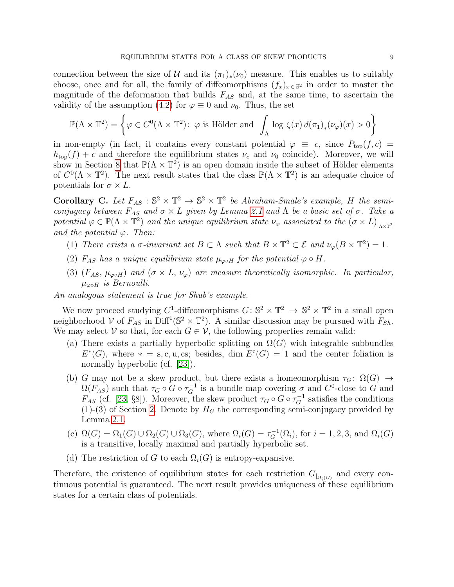connection between the size of U and its  $(\pi_1)_*(\nu_0)$  measure. This enables us to suitably choose, once and for all, the family of diffeomorphisms  $(f_x)_{x \in \mathbb{S}^2}$  in order to master the magnitude of the deformation that builds  $F_{AS}$  and, at the same time, to ascertain the validity of the assumption [\(4.2\)](#page-7-0) for  $\varphi \equiv 0$  and  $\nu_0$ . Thus, the set

$$
\mathbb{P}(\Lambda \times \mathbb{T}^2) = \left\{ \varphi \in C^0(\Lambda \times \mathbb{T}^2) \colon \varphi \text{ is Hölder and } \int_{\Lambda} \log \zeta(x) d(\pi_1)_*(\nu_\varphi)(x) > 0 \right\}
$$

in non-empty (in fact, it contains every constant potential  $\varphi \equiv c$ , since  $P_{top}(f, c)$  $h_{\text{top}}(f) + c$  and therefore the equilibrium states  $\nu_c$  and  $\nu_0$  coincide). Moreover, we will show in Section [8](#page-16-0) that  $\mathbb{P}(\Lambda \times \mathbb{T}^2)$  is an open domain inside the subset of Hölder elements of  $C^0(\Lambda \times \mathbb{T}^2)$ . The next result states that the class  $\mathbb{P}(\Lambda \times \mathbb{T}^2)$  is an adequate choice of potentials for  $\sigma \times L$ .

<span id="page-8-0"></span>Corollary C. Let  $F_{AS}: \mathbb{S}^2 \times \mathbb{T}^2 \to \mathbb{S}^2 \times \mathbb{T}^2$  be Abraham-Smale's example, H the semiconjugacy between  $F_{AS}$  and  $\sigma \times L$  given by Lemma [2.1](#page-3-1) and  $\Lambda$  be a basic set of  $\sigma$ . Take a potential  $\varphi \in \mathbb{P}(\Lambda \times \mathbb{T}^2)$  and the unique equilibrium state  $\nu_{\varphi}$  associated to the  $(\sigma \times L)_{\vert_{\Lambda \times \mathbb{T}^2}}$ and the potential  $\varphi$ . Then:

- (1) There exists a  $\sigma$ -invariant set  $B \subset \Lambda$  such that  $B \times \mathbb{T}^2 \subset \mathcal{E}$  and  $\nu_\varphi(B \times \mathbb{T}^2) = 1$ .
- (2)  $F_{AS}$  has a unique equilibrium state  $\mu_{\varphi \circ H}$  for the potential  $\varphi \circ H$ .
- (3)  $(F_{AS}, \mu_{\varphi \circ H})$  and  $(\sigma \times L, \nu_{\varphi})$  are measure theoretically isomorphic. In particular,  $\mu_{\infty H}$  is Bernoulli.

An analogous statement is true for Shub's example.

We now proceed studying C<sup>1</sup>-diffeomorphisms  $G: \mathbb{S}^2 \times \mathbb{T}^2 \to \mathbb{S}^2 \times \mathbb{T}^2$  in a small open neighborhood V of  $F_{AS}$  in  $\text{Diff}^1(\mathbb{S}^2 \times \mathbb{T}^2)$ . A similar discussion may be pursued with  $F_{Sh}$ . We may select  $V$  so that, for each  $G \in V$ , the following properties remain valid:

- (a) There exists a partially hyperbolic splitting on  $\Omega(G)$  with integrable subbundles  $E^*(G)$ , where  $* = s, c, u, cs$ ; besides, dim  $E^c(G) = 1$  and the center foliation is normally hyperbolic (cf. [\[23\]](#page-21-7)).
- (b) G may not be a skew product, but there exists a homeomorphism  $\tau_G: \Omega(G) \to$  $\Omega(F_{AS})$  such that  $\tau_G \circ G \circ \tau_G^{-1}$  is a bundle map covering  $\sigma$  and  $C^0$ -close to G and  $F_{AS}$  (cf. [\[23,](#page-21-7) §8]). Moreover, the skew product  $\tau_G \circ G \circ \tau_G^{-1}$  satisfies the conditions  $(1)-(3)$  of Section [2.](#page-2-0) Denote by  $H_G$  the corresponding semi-conjugacy provided by Lemma [2.1.](#page-3-1)
- (c)  $\Omega(G) = \Omega_1(G) \cup \Omega_2(G) \cup \Omega_3(G)$ , where  $\Omega_i(G) = \tau_G^{-1}(\Omega_i)$ , for  $i = 1, 2, 3$ , and  $\Omega_i(G)$ is a transitive, locally maximal and partially hyperbolic set.
- (d) The restriction of G to each  $\Omega_i(G)$  is entropy-expansive.

Therefore, the existence of equilibrium states for each restriction  $G_{\vert_{\Omega_i(G)}}$  and every continuous potential is guaranteed. The next result provides uniqueness of these equilibrium states for a certain class of potentials.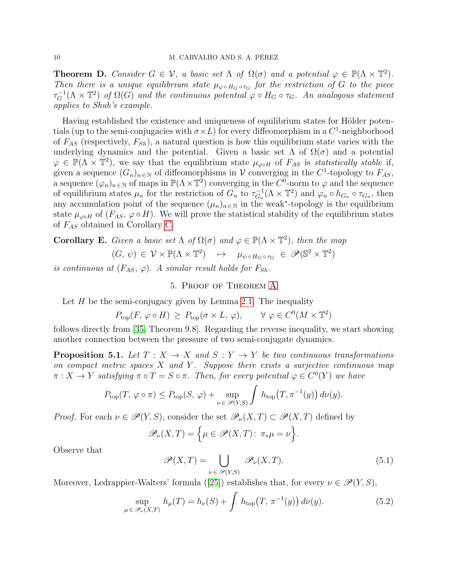<span id="page-9-4"></span>**Theorem D.** Consider  $G \in \mathcal{V}$ , a basic set  $\Lambda$  of  $\Omega(\sigma)$  and a potential  $\varphi \in \mathbb{P}(\Lambda \times \mathbb{T}^2)$ . Then there is a unique equilibrium state  $\mu_{\varphi \circ H_G \circ \tau_G}$  for the restriction of G to the piece  $\tau_G^{-1}(\Lambda \times \mathbb{T}^2)$  of  $\Omega(G)$  and the continuous potential  $\varphi \circ H_G \circ \tau_G$ . An analogous statement applies to Shub's example.

Having established the existence and uniqueness of equilibrium states for Hölder potentials (up to the semi-conjugacies with  $\sigma \times L$ ) for every diffeomorphism in a  $C^1$ -neighborhood of  $F_{AS}$  (respectively,  $F_{Sh}$ ), a natural question is how this equilibrium state varies with the underlying dynamics and the potential. Given a basic set  $\Lambda$  of  $\Omega(\sigma)$  and a potential  $\varphi \in \mathbb{P}(\Lambda \times \mathbb{T}^2)$ , we say that the equilibrium state  $\mu_{\varphi \circ H}$  of  $F_{AS}$  is *statistically stable* if, given a sequence  $(G_n)_{n \in \mathbb{N}}$  of diffeomorphisms in V converging in the C<sup>1</sup>-topology to  $F_{AS}$ , a sequence  $(\varphi_n)_{n\in\mathbb{N}}$  of maps in  $\mathbb{P}(\Lambda\times\mathbb{T}^2)$  converging in the  $C^0$ -norm to  $\varphi$  and the sequence of equilibrium states  $\mu_n$  for the restriction of  $G_n$  to  $\tau_{G_n}^{-1}$  $_{G_n}^{-1}(\Lambda \times \mathbb{T}^2)$  and  $\varphi_n \circ h_{G_n} \circ \tau_{G_n}$ , then any accumulation point of the sequence  $(\mu_n)_{n \in \mathbb{N}}$  in the weak<sup>\*</sup>-topology is the equilibrium state  $\mu_{\varphi \circ H}$  of  $(F_{AS}, \varphi \circ H)$ . We will prove the statistical stability of the equilibrium states of  $F_{AS}$  obtained in Corollary [C.](#page-8-0)

<span id="page-9-5"></span>**Corollary E.** Given a basic set  $\Lambda$  of  $\Omega(\sigma)$  and  $\varphi \in \mathbb{P}(\Lambda \times \mathbb{T}^2)$ , then the map

$$
(G, \psi) \in \mathcal{V} \times \mathbb{P}(\Lambda \times \mathbb{T}^2) \quad \mapsto \quad \mu_{\psi \circ H_G \circ \tau_G} \in \mathscr{P}(\mathbb{S}^2 \times \mathbb{T}^2)
$$

<span id="page-9-0"></span>is continuous at  $(F_{AS}, \varphi)$ . A similar result holds for  $F_{Sh}$ .

# 5. Proof of Theorem [A](#page-5-1)

Let  $H$  be the semi-conjugacy given by Lemma [2.1.](#page-3-1) The inequality

$$
P_{\text{top}}(F, \varphi \circ H) \ge P_{\text{top}}(\sigma \times L, \varphi), \qquad \forall \varphi \in C^{0}(M \times \mathbb{T}^{2})
$$

follows directly from [\[35,](#page-22-7) Theorem 9.8]. Regarding the reverse inequality, we start showing another connection between the pressure of two semi-conjugate dynamics.

<span id="page-9-3"></span>**Proposition 5.1.** Let  $T : X \to X$  and  $S : Y \to Y$  be two continuous transformations on compact metric spaces  $X$  and  $Y$ . Suppose there exists a surjective continuous map  $\pi: X \to Y$  satisfying  $\pi \circ T = S \circ \pi$ . Then, for every potential  $\varphi \in C^0(Y)$  we have

$$
P_{\text{top}}(T, \varphi \circ \pi) \le P_{\text{top}}(S, \varphi) + \sup_{\nu \in \mathscr{P}(Y, S)} \int h_{\text{top}}(T, \pi^{-1}(y)) d\nu(y).
$$

*Proof.* For each  $\nu \in \mathscr{P}(Y, S)$ , consider the set  $\mathscr{P}_{\nu}(X, T) \subset \mathscr{P}(X, T)$  defined by

$$
\mathscr{P}_{\nu}(X,T) = \Big\{ \mu \in \mathscr{P}(X,T) \colon \pi_* \mu = \nu \Big\}.
$$

Observe that

<span id="page-9-2"></span>
$$
\mathscr{P}(X,T) = \bigcup_{\nu \in \mathscr{P}(Y,S)} \mathscr{P}_{\nu}(X,T). \tag{5.1}
$$

Moreover, Ledrappier-Walters' formula ([\[25\]](#page-21-9)) establishes that, for every  $\nu \in \mathscr{P}(Y, S)$ ,

<span id="page-9-1"></span>
$$
\sup_{\mu \in \mathcal{P}_{\nu}(X,T)} h_{\mu}(T) = h_{\nu}(S) + \int h_{\text{top}}(T, \pi^{-1}(y)) d\nu(y). \tag{5.2}
$$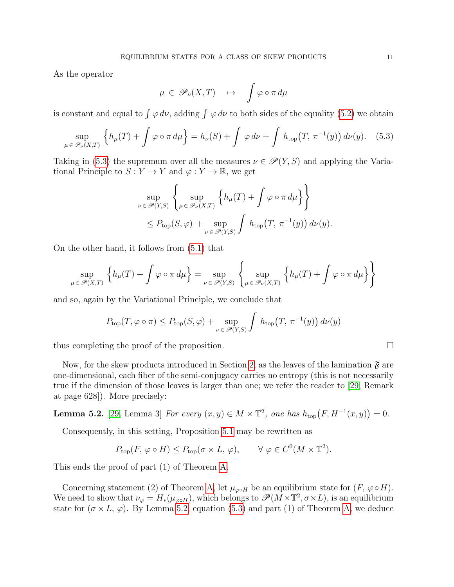As the operator

$$
\mu \in \mathscr{P}_{\nu}(X,T) \quad \mapsto \quad \int \varphi \circ \pi \, d\mu
$$

is constant and equal to  $\int \varphi \, d\nu$ , adding  $\int \varphi \, d\nu$  to both sides of the equality [\(5.2\)](#page-9-1) we obtain

<span id="page-10-0"></span>
$$
\sup_{\mu \in \mathscr{P}_{\nu}(X,T)} \left\{ h_{\mu}(T) + \int \varphi \circ \pi \, d\mu \right\} = h_{\nu}(S) + \int \varphi \, d\nu + \int h_{\text{top}}(T, \pi^{-1}(y)) \, d\nu(y). \tag{5.3}
$$

Taking in [\(5.3\)](#page-10-0) the supremum over all the measures  $\nu \in \mathscr{P}(Y, S)$  and applying the Variational Principle to  $S: Y \to Y$  and  $\varphi: Y \to \mathbb{R}$ , we get

$$
\sup_{\nu \in \mathscr{P}(Y,S)} \left\{ \sup_{\mu \in \mathscr{P}_{\nu}(X,T)} \left\{ h_{\mu}(T) + \int \varphi \circ \pi \, d\mu \right\} \right\}
$$
  

$$
\leq P_{\text{top}}(S,\varphi) + \sup_{\nu \in \mathscr{P}(Y,S)} \int h_{\text{top}}(T, \pi^{-1}(y)) \, d\nu(y).
$$

On the other hand, it follows from [\(5.1\)](#page-9-2) that

$$
\sup_{\mu \in \mathscr{P}(X,T)} \left\{ h_{\mu}(T) + \int \varphi \circ \pi \, d\mu \right\} = \sup_{\nu \in \mathscr{P}(Y,S)} \left\{ \sup_{\mu \in \mathscr{P}_{\nu}(X,T)} \left\{ h_{\mu}(T) + \int \varphi \circ \pi \, d\mu \right\} \right\}
$$

and so, again by the Variational Principle, we conclude that

$$
P_{\text{top}}(T, \varphi \circ \pi) \le P_{\text{top}}(S, \varphi) + \sup_{\nu \in \mathcal{P}(Y, S)} \int h_{\text{top}}(T, \pi^{-1}(y)) d\nu(y)
$$

thus completing the proof of the proposition.

Now, for the skew products introduced in Section [2,](#page-2-0) as the leaves of the lamination  $\mathfrak{F}$  are one-dimensional, each fiber of the semi-conjugacy carries no entropy (this is not necessarily true if the dimension of those leaves is larger than one; we refer the reader to [\[29,](#page-22-3) Remark at page 628]). More precisely:

<span id="page-10-1"></span>**Lemma 5.2.** [\[29,](#page-22-3) Lemma 3] For every  $(x, y) \in M \times \mathbb{T}^2$ , one has  $h_{top}(F, H^{-1}(x, y)) = 0$ .

Consequently, in this setting, Proposition [5.1](#page-9-3) may be rewritten as

$$
P_{\text{top}}(F, \varphi \circ H) \le P_{\text{top}}(\sigma \times L, \varphi), \qquad \forall \varphi \in C^{0}(M \times \mathbb{T}^{2}).
$$

This ends the proof of part (1) of Theorem [A.](#page-5-1)

Concerning statement (2) of Theorem [A,](#page-5-1) let  $\mu_{\varphi \circ H}$  be an equilibrium state for  $(F, \varphi \circ H)$ . We need to show that  $\nu_{\varphi} = H_*(\mu_{\varphi \circ H})$ , which belongs to  $\mathscr{P}(M \times \mathbb{T}^2, \sigma \times L)$ , is an equilibrium state for  $(\sigma \times L, \varphi)$ . By Lemma [5.2,](#page-10-1) equation [\(5.3\)](#page-10-0) and part (1) of Theorem [A,](#page-5-1) we deduce

$$
\sqcup
$$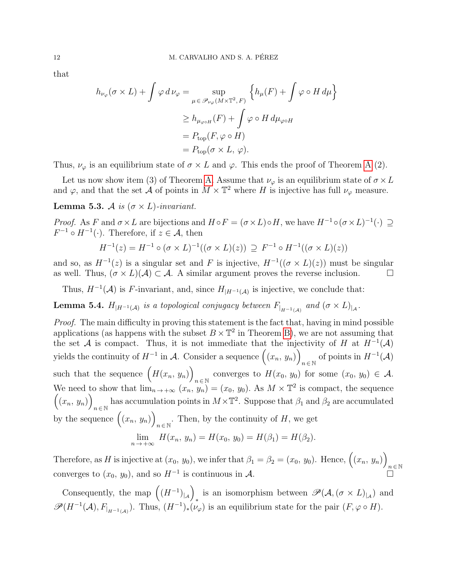that

$$
h_{\nu_{\varphi}}(\sigma \times L) + \int \varphi \, d\,\nu_{\varphi} = \sup_{\mu \in \mathscr{P}_{\nu_{\varphi}}(M \times \mathbb{T}^2, F)} \left\{ h_{\mu}(F) + \int \varphi \circ H \, d\mu \right\}
$$

$$
\geq h_{\mu_{\varphi \circ H}}(F) + \int \varphi \circ H \, d\mu_{\varphi \circ H}
$$

$$
= P_{\text{top}}(F, \varphi \circ H)
$$

$$
= P_{\text{top}}(\sigma \times L, \varphi).
$$

Thus,  $\nu_{\varphi}$  is an equilibrium state of  $\sigma \times L$  and  $\varphi$ . This ends the proof of Theorem [A](#page-5-1) (2).

Let us now show item (3) of Theorem [A.](#page-5-1) Assume that  $\nu_{\varphi}$  is an equilibrium state of  $\sigma \times L$ and  $\varphi$ , and that the set  $\mathcal{A}$  of points in  $M \times \mathbb{T}^2$  where H is injective has full  $\nu_{\varphi}$  measure.

**Lemma 5.3.** A is  $(\sigma \times L)$ -invariant.

*Proof.* As F and  $\sigma \times L$  are bijections and  $H \circ F = (\sigma \times L) \circ H$ , we have  $H^{-1} \circ (\sigma \times L)^{-1}(\cdot) \supseteq$  $F^{-1} \circ H^{-1}(\cdot)$ . Therefore, if  $z \in \mathcal{A}$ , then

$$
H^{-1}(z) = H^{-1} \circ (\sigma \times L)^{-1}((\sigma \times L)(z)) \supseteq F^{-1} \circ H^{-1}((\sigma \times L)(z))
$$

and so, as  $H^{-1}(z)$  is a singular set and F is injective,  $H^{-1}((\sigma \times L)(z))$  must be singular as well. Thus,  $(\sigma \times L)(\mathcal{A}) \subset \mathcal{A}$ . A similar argument proves the reverse inclusion.

Thus,  $H^{-1}(\mathcal{A})$  is F-invariant, and, since  $H_{|H^{-1}(\mathcal{A})}$  is injective, we conclude that:

**Lemma 5.4.**  $H_{|H^{-1}(\mathcal{A})}$  is a topological conjugacy between  $F_{|H^{-1}(\mathcal{A})}$  and  $(\sigma \times L)_{|\mathcal{A}}$ .

Proof. The main difficulty in proving this statement is the fact that, having in mind possible applications (as happens with the subset  $B \times \mathbb{T}^2$  in Theorem [B\)](#page-6-0), we are not assuming that the set A is compact. Thus, it is not immediate that the injectivity of H at  $H^{-1}(\mathcal{A})$ yields the continuity of  $H^{-1}$  in A. Consider a sequence  $((x_n, y_n))$  $n \in \mathbb{N}$  of points in  $H^{-1}(\mathcal{A})$ such that the sequence  $(H(x_n, y_n))$ converges to  $H(x_0, y_0)$  for some  $(x_0, y_0) \in \mathcal{A}$ . We need to show that  $\lim_{n\to\infty} (x_n, y_n) = (x_0, y_0)$ . As  $M \times \mathbb{T}^2$  is compact, the sequence  $((x_n, y_n))$ has accumulation points in  $M \times \mathbb{T}^2$ . Suppose that  $\beta_1$  and  $\beta_2$  are accumulated by the sequence  $((x_n, y_n))$ . Then, by the continuity of  $H$ , we get

$$
\lim_{n \to +\infty} H(x_n, y_n) = H(x_0, y_0) = H(\beta_1) = H(\beta_2).
$$

Therefore, as H is injective at  $(x_0, y_0)$ , we infer that  $\beta_1 = \beta_2 = (x_0, y_0)$ . Hence,  $((x_n, y_n))$  $n \in \mathbb{N}$ converges to  $(x_0, y_0)$ , and so  $H^{-1}$  is continuous in A.

Consequently, the map  $((H^{-1})_{|_{\mathcal{A}}})$ is an isomorphism between  $\mathscr{P}(A, (\sigma \times L)_{|A})$  and  $\mathscr{P}(H^{-1}(\mathcal{A}), F_{|_{H^{-1}(\mathcal{A})}})$ . Thus,  $(H^{-1})_*(\nu_{\varphi})$  is an equilibrium state for the pair  $(F, \varphi \circ H)$ .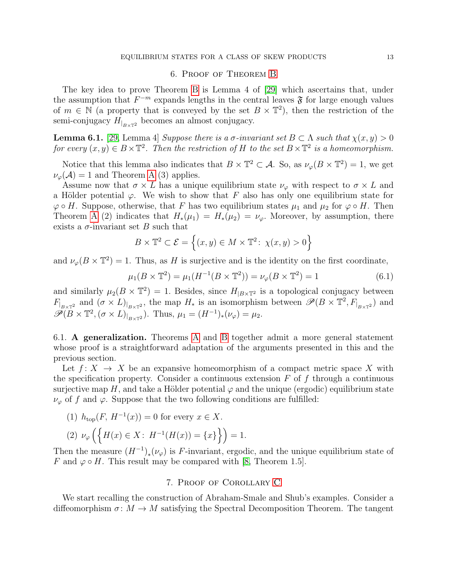### 6. Proof of Theorem [B](#page-6-0)

<span id="page-12-0"></span>The key idea to prove Theorem [B](#page-6-0) is Lemma 4 of [\[29\]](#page-22-3) which ascertains that, under the assumption that  $F^{-m}$  expands lengths in the central leaves  $\mathfrak F$  for large enough values of  $m \in \mathbb{N}$  (a property that is conveyed by the set  $B \times \mathbb{T}^2$ ), then the restriction of the semi-conjugacy  $H_{B\times T^2}$  becomes an almost conjugacy.

**Lemma 6.1.** [\[29,](#page-22-3) Lemma 4] Suppose there is a  $\sigma$ -invariant set  $B \subset \Lambda$  such that  $\chi(x, y) > 0$ for every  $(x, y) \in B \times \mathbb{T}^2$ . Then the restriction of H to the set  $B \times \mathbb{T}^2$  is a homeomorphism.

Notice that this lemma also indicates that  $B \times \mathbb{T}^2 \subset \mathcal{A}$ . So, as  $\nu_\varphi(B \times \mathbb{T}^2) = 1$ , we get  $\nu_{\varphi}(\mathcal{A}) = 1$  and Theorem [A](#page-5-1) (3) applies.

Assume now that  $\sigma \times L$  has a unique equilibrium state  $\nu_{\varphi}$  with respect to  $\sigma \times L$  and a Hölder potential  $\varphi$ . We wish to show that F also has only one equilibrium state for  $\varphi \circ H$ . Suppose, otherwise, that F has two equilibrium states  $\mu_1$  and  $\mu_2$  for  $\varphi \circ H$ . Then Theorem [A](#page-5-1) (2) indicates that  $H_*(\mu_1) = H_*(\mu_2) = \nu_\varphi$ . Moreover, by assumption, there exists a  $\sigma$ -invariant set B such that

$$
B \times \mathbb{T}^2 \subset \mathcal{E} = \left\{ (x, y) \in M \times \mathbb{T}^2 \colon \chi(x, y) > 0 \right\}
$$

and  $\nu_{\varphi}(B \times \mathbb{T}^2) = 1$ . Thus, as H is surjective and is the identity on the first coordinate,

$$
\mu_1(B \times \mathbb{T}^2) = \mu_1(H^{-1}(B \times \mathbb{T}^2)) = \nu_{\varphi}(B \times \mathbb{T}^2) = 1
$$
\n(6.1)

and similarly  $\mu_2(B \times \mathbb{T}^2) = 1$ . Besides, since  $H_{|B \times \mathbb{T}^2}$  is a topological conjugacy between  $F_{B\times T^2}$  and  $(\sigma \times L)_{B\times T^2}$ , the map  $H_*$  is an isomorphism between  $\mathscr{P}(B \times T^2, F_{B\times T^2})$  and  $\widetilde{\mathscr{P}(B \times \mathbb{T}^2, (\sigma \times L)|_{B \times \mathbb{T}^2}})$ . Thus,  $\mu_1 = (H^{-1})_*(\nu_\varphi) = \mu_2$ .

6.1. A generalization. Theorems [A](#page-5-1) and [B](#page-6-0) together admit a more general statement whose proof is a straightforward adaptation of the arguments presented in this and the previous section.

Let  $f: X \to X$  be an expansive homeomorphism of a compact metric space X with the specification property. Consider a continuous extension  $F$  of  $f$  through a continuous surjective map H, and take a Hölder potential  $\varphi$  and the unique (ergodic) equilibrium state  $\nu_{\varphi}$  of f and  $\varphi$ . Suppose that the two following conditions are fulfilled:

(1) 
$$
h_{\text{top}}(F, H^{-1}(x)) = 0
$$
 for every  $x \in X$ .

$$
(2) \ \nu_{\varphi} \left( \left\{ H(x) \in X : H^{-1}(H(x)) = \{x\} \right\} \right) = 1.
$$

Then the measure  $(H^{-1})_*(\nu_\varphi)$  is F-invariant, ergodic, and the unique equilibrium state of F and  $\varphi \circ H$ . This result may be compared with [\[8,](#page-21-13) Theorem 1.5].

#### 7. Proof of Corollary [C](#page-8-0)

<span id="page-12-1"></span>We start recalling the construction of Abraham-Smale and Shub's examples. Consider a diffeomorphism  $\sigma \colon M \to M$  satisfying the Spectral Decomposition Theorem. The tangent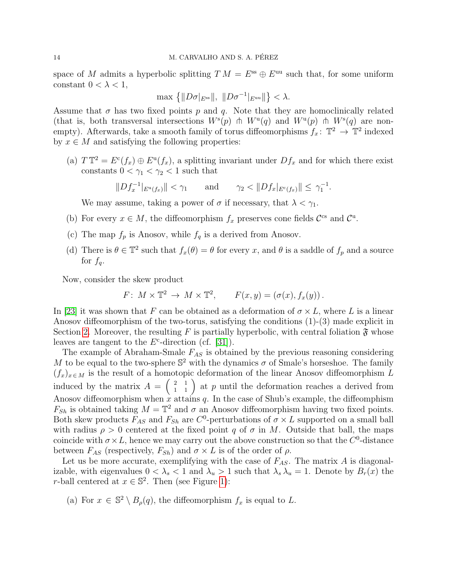space of M admits a hyperbolic splitting  $TM = E^{ss} \oplus E^{uu}$  such that, for some uniform constant  $0 < \lambda < 1$ ,

$$
\max\left\{\|D\sigma|_{E^{\text{ss}}} \|, \|D\sigma^{-1}|_{E^{\text{uu}}} \|\right\} < \lambda.
$$

Assume that  $\sigma$  has two fixed points p and q. Note that they are homoclinically related (that is, both transversal intersections  $W^{s}(p)$   $\pitchfork W^{u}(q)$  and  $W^{u}(p)$   $\pitchfork W^{s}(q)$  are nonempty). Afterwards, take a smooth family of torus diffeomorphisms  $f_x: \mathbb{T}^2 \to \mathbb{T}^2$  indexed by  $x \in M$  and satisfying the following properties:

(a)  $T T^2 = E^c(f_x) \oplus E^u(f_x)$ , a splitting invariant under  $Df_x$  and for which there exist constants  $0 < \gamma_1 < \gamma_2 < 1$  such that

.

$$
||Df_x^{-1}|_{E^u(f_x)}|| < \gamma_1 \quad \text{and} \quad \gamma_2 < ||Df_x|_{E^c(f_x)}|| \le \gamma_1^{-1}
$$

We may assume, taking a power of  $\sigma$  if necessary, that  $\lambda < \gamma_1$ .

- (b) For every  $x \in M$ , the diffeomorphism  $f_x$  preserves cone fields  $\mathcal{C}^{\text{cs}}$  and  $\mathcal{C}^{\text{u}}$ .
- (c) The map  $f_p$  is Anosov, while  $f_q$  is a derived from Anosov.
- (d) There is  $\theta \in \mathbb{T}^2$  such that  $f_x(\theta) = \theta$  for every x, and  $\theta$  is a saddle of  $f_p$  and a source for  $f_a$ .

Now, consider the skew product

$$
F\colon M\times \mathbb{T}^2\to M\times \mathbb{T}^2, \qquad F(x,y)=(\sigma(x),f_x(y))\,.
$$

In [\[23\]](#page-21-7) it was shown that F can be obtained as a deformation of  $\sigma \times L$ , where L is a linear Anosov diffeomorphism of the two-torus, satisfying the conditions (1)-(3) made explicit in Section [2.](#page-2-0) Moreover, the resulting F is partially hyperbolic, with central foliation  $\mathfrak{F}$  whose leaves are tangent to the  $E^c$ -direction (cf. [\[31\]](#page-22-10)).

The example of Abraham-Smale  $F_{AS}$  is obtained by the previous reasoning considering M to be equal to the two-sphere  $\mathbb{S}^2$  with the dynamics  $\sigma$  of Smale's horseshoe. The family  $(f_x)_{x \in M}$  is the result of a homotopic deformation of the linear Anosov diffeomorphism L induced by the matrix  $A = \begin{pmatrix} 2 & 1 \\ 1 & 1 \end{pmatrix}$  at p until the deformation reaches a derived from Anosov diffeomorphism when x attains  $q$ . In the case of Shub's example, the diffeomphism  $F_{Sh}$  is obtained taking  $M = \mathbb{T}^2$  and  $\sigma$  an Anosov diffeomorphism having two fixed points. Both skew products  $F_{AS}$  and  $F_{Sh}$  are  $C^0$ -perturbations of  $\sigma \times L$  supported on a small ball with radius  $\rho > 0$  centered at the fixed point q of  $\sigma$  in M. Outside that ball, the maps coincide with  $\sigma \times L$ , hence we may carry out the above construction so that the C<sup>0</sup>-distance between  $F_{AS}$  (respectively,  $F_{Sh}$ ) and  $\sigma \times L$  is of the order of  $\rho$ .

Let us be more accurate, exemplifying with the case of  $F_{AS}$ . The matrix A is diagonalizable, with eigenvalues  $0 < \lambda_s < 1$  and  $\lambda_u > 1$  such that  $\lambda_s \lambda_u = 1$ . Denote by  $B_r(x)$  the r-ball centered at  $x \in \mathbb{S}^2$ . Then (see Figure [1\)](#page-14-0):

(a) For  $x \in \mathbb{S}^2 \setminus B_{\rho}(q)$ , the diffeomorphism  $f_x$  is equal to L.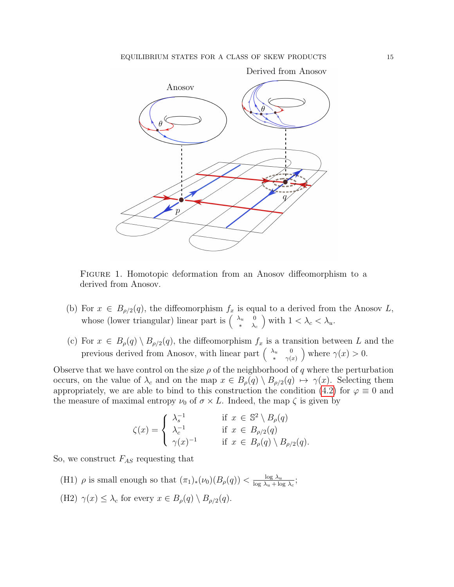

<span id="page-14-0"></span>Figure 1. Homotopic deformation from an Anosov diffeomorphism to a derived from Anosov.

- (b) For  $x \in B_{\rho/2}(q)$ , the diffeomorphism  $f_x$  is equal to a derived from the Anosov L, whose (lower triangular) linear part is  $\begin{pmatrix} \lambda_u & 0 \\ 0 & \lambda_u \end{pmatrix}$  $*$   $\lambda_c$ ) with  $1 < \lambda_c < \lambda_u$ .
- (c) For  $x \in B_{\rho}(q) \setminus B_{\rho/2}(q)$ , the diffeomorphism  $f_x$  is a transition between L and the previous derived from Anosov, with linear part  $\begin{pmatrix} \lambda_u & 0 \\ 0 & \lambda_u \end{pmatrix}$ \*  $\gamma(x)$ ) where  $\gamma(x) > 0$ .

Observe that we have control on the size  $\rho$  of the neighborhood of q where the perturbation occurs, on the value of  $\lambda_c$  and on the map  $x \in B_\rho(q) \setminus B_{\rho/2}(q) \mapsto \gamma(x)$ . Selecting them appropriately, we are able to bind to this construction the condition [\(4.2\)](#page-7-0) for  $\varphi \equiv 0$  and the measure of maximal entropy  $\nu_0$  of  $\sigma \times L$ . Indeed, the map  $\zeta$  is given by

$$
\zeta(x) = \begin{cases} \lambda_s^{-1} & \text{if } x \in \mathbb{S}^2 \setminus B_{\rho}(q) \\ \lambda_c^{-1} & \text{if } x \in B_{\rho/2}(q) \\ \gamma(x)^{-1} & \text{if } x \in B_{\rho}(q) \setminus B_{\rho/2}(q). \end{cases}
$$

So, we construct  $F_{AS}$  requesting that

(H1)  $\rho$  is small enough so that  $(\pi_1)_*(\nu_0)(B_\rho(q)) < \frac{\log \lambda_u}{\log \lambda_u + \log \lambda_u}$  $\frac{\log \lambda_u}{\log \lambda_u + \log \lambda_c};$ (H2)  $\gamma(x) \leq \lambda_c$  for every  $x \in B_\rho(q) \setminus B_{\rho/2}(q)$ .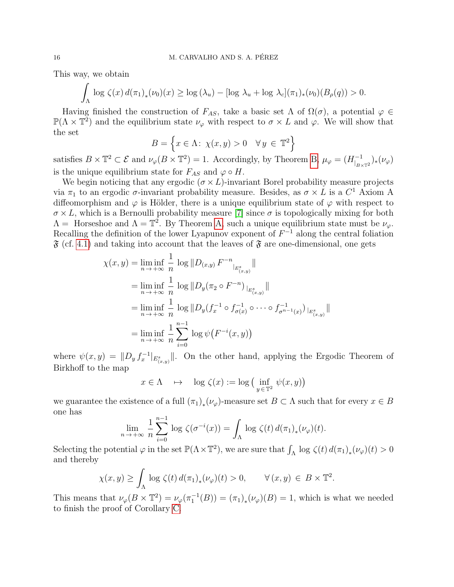This way, we obtain

$$
\int_{\Lambda} \log \zeta(x) d(\pi_1)_*(\nu_0)(x) \ge \log (\lambda_u) - [\log \lambda_u + \log \lambda_c](\pi_1)_*(\nu_0)(B_{\rho}(q)) > 0.
$$

Having finished the construction of  $F_{AS}$ , take a basic set  $\Lambda$  of  $\Omega(\sigma)$ , a potential  $\varphi \in$  $\mathbb{P}(\Lambda \times \mathbb{T}^2)$  and the equilibrium state  $\nu_{\varphi}$  with respect to  $\sigma \times L$  and  $\varphi$ . We will show that the set

$$
B = \left\{ x \in \Lambda : \ \chi(x, y) > 0 \quad \forall \, y \, \in \, \mathbb{T}^2 \right\}
$$

satisfies  $B \times \mathbb{T}^2 \subset \mathcal{E}$  and  $\nu_{\varphi}(B \times \mathbb{T}^2) = 1$ . Accordingly, by Theorem [B,](#page-6-0)  $\mu_{\varphi} = (H_{\perp}^{-1})$  $\binom{-1}{\mathsf{B} \times \mathbb{T}^2}$   $\big(\nu_\varphi\big)$ is the unique equilibrium state for  $F_{AS}$  and  $\varphi \circ H$ .

We begin noticing that any ergodic  $(\sigma \times L)$ -invariant Borel probability measure projects via  $\pi_1$  to an ergodic  $\sigma$ -invariant probability measure. Besides, as  $\sigma \times L$  is a  $C^1$  Axiom A diffeomorphism and  $\varphi$  is Hölder, there is a unique equilibrium state of  $\varphi$  with respect to  $\sigma \times L$ , which is a Bernoulli probability measure [\[7\]](#page-21-1) since  $\sigma$  is topologically mixing for both  $\Lambda =$  Horseshoe and  $\Lambda = \mathbb{T}^2$ . By Theorem [A,](#page-5-1) such a unique equilibrium state must be  $\nu_{\varphi}$ . Recalling the definition of the lower Lyapunov exponent of  $F^{-1}$  along the central foliation  $\mathfrak{F}$  (cf. [4.1\)](#page-6-1) and taking into account that the leaves of  $\mathfrak{F}$  are one-dimensional, one gets

$$
\chi(x, y) = \liminf_{n \to +\infty} \frac{1}{n} \log ||D_{(x,y)} F^{-n}||_{E^s_{(x,y)}}||
$$
  
\n
$$
= \liminf_{n \to +\infty} \frac{1}{n} \log ||D_y(\pi_2 \circ F^{-n})||_{E^s_{(x,y)}}||
$$
  
\n
$$
= \liminf_{n \to +\infty} \frac{1}{n} \log ||D_y(f_x^{-1} \circ f_{\sigma(x)}^{-1} \circ \cdots \circ f_{\sigma^{n-1}(x)}^{-1})||_{E^s_{(x,y)}}||
$$
  
\n
$$
= \liminf_{n \to +\infty} \frac{1}{n} \sum_{i=0}^{n-1} \log \psi(F^{-i}(x, y))
$$

where  $\psi(x,y) = ||D_y f_x^{-1}||_{E^s_{(x,y)}}||$ . On the other hand, applying the Ergodic Theorem of Birkhoff to the map

$$
x \in \Lambda \quad \mapsto \quad \log \zeta(x) := \log \big( \inf_{y \in \mathbb{T}^2} \psi(x, y) \big)
$$

we guarantee the existence of a full  $(\pi_1)_*(\nu_\varphi)$ -measure set  $B \subset \Lambda$  such that for every  $x \in B$ one has

$$
\lim_{n \to +\infty} \frac{1}{n} \sum_{i=0}^{n-1} \log \zeta(\sigma^{-i}(x)) = \int_{\Lambda} \log \zeta(t) d(\pi_1)_*(\nu_\varphi)(t).
$$

Selecting the potential  $\varphi$  in the set  $\mathbb{P}(\Lambda \times \mathbb{T}^2)$ , we are sure that  $\int_{\Lambda} \log \zeta(t) d(\pi_1)_*(\nu_{\varphi})(t) > 0$ and thereby

$$
\chi(x,y) \ge \int_{\Lambda} \log \zeta(t) d(\pi_1)_*(\nu_{\varphi})(t) > 0, \qquad \forall (x,y) \in B \times \mathbb{T}^2.
$$

This means that  $\nu_{\varphi}(B \times \mathbb{T}^2) = \nu_{\varphi}(\pi_1^{-1}(B)) = (\pi_1)_*(\nu_{\varphi})(B) = 1$ , which is what we needed to finish the proof of Corollary [C.](#page-8-0)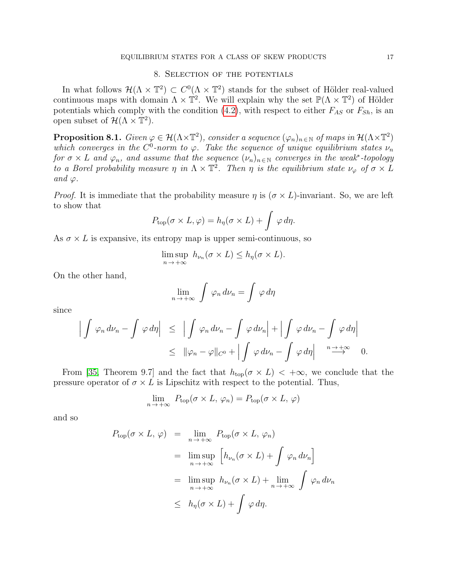## 8. Selection of the potentials

<span id="page-16-0"></span>In what follows  $\mathcal{H}(\Lambda \times \mathbb{T}^2) \subset C^0(\Lambda \times \mathbb{T}^2)$  stands for the subset of Hölder real-valued continuous maps with domain  $\Lambda \times \mathbb{T}^2$ . We will explain why the set  $\mathbb{P}(\Lambda \times \mathbb{T}^2)$  of Hölder potentials which comply with the condition [\(4.2\)](#page-7-0), with respect to either  $F_{AS}$  or  $F_{Sh}$ , is an open subset of  $\mathcal{H}(\Lambda \times \mathbb{T}^2)$ .

<span id="page-16-1"></span>**Proposition 8.1.** Given  $\varphi \in \mathcal{H}(\Lambda \times \mathbb{T}^2)$ , consider a sequence  $(\varphi_n)_{n \in \mathbb{N}}$  of maps in  $\mathcal{H}(\Lambda \times \mathbb{T}^2)$ which converges in the  $C^0$ -norm to  $\varphi$ . Take the sequence of unique equilibrium states  $\nu_n$ for  $\sigma \times L$  and  $\varphi_n$ , and assume that the sequence  $(\nu_n)_{n \in \mathbb{N}}$  converges in the weak<sup>\*</sup>-topology to a Borel probability measure  $\eta$  in  $\Lambda \times \mathbb{T}^2$ . Then  $\eta$  is the equilibrium state  $\nu_{\varphi}$  of  $\sigma \times L$ and  $\varphi$ .

*Proof.* It is immediate that the probability measure  $\eta$  is  $(\sigma \times L)$ -invariant. So, we are left to show that

$$
P_{\text{top}}(\sigma \times L, \varphi) = h_{\eta}(\sigma \times L) + \int \varphi \, d\eta.
$$

As  $\sigma \times L$  is expansive, its entropy map is upper semi-continuous, so

$$
\limsup_{n \to +\infty} h_{\nu_n}(\sigma \times L) \le h_\eta(\sigma \times L).
$$

On the other hand,

$$
\lim_{n \to +\infty} \int \varphi_n \, d\nu_n = \int \varphi \, d\eta
$$

since

$$
\left| \int \varphi_n \, d\nu_n - \int \varphi \, d\eta \right| \leq \left| \int \varphi_n \, d\nu_n - \int \varphi \, d\nu_n \right| + \left| \int \varphi \, d\nu_n - \int \varphi \, d\eta \right|
$$
  

$$
\leq \|\varphi_n - \varphi\|_{C^0} + \left| \int \varphi \, d\nu_n - \int \varphi \, d\eta \right| \xrightarrow{n \to +\infty} 0.
$$

From [\[35,](#page-22-7) Theorem 9.7] and the fact that  $h_{\text{top}}(\sigma \times L) < +\infty$ , we conclude that the pressure operator of  $\sigma \times L$  is Lipschitz with respect to the potential. Thus,

$$
\lim_{n \to +\infty} P_{\text{top}}(\sigma \times L, \varphi_n) = P_{\text{top}}(\sigma \times L, \varphi)
$$

and so

$$
P_{\text{top}}(\sigma \times L, \varphi) = \lim_{n \to +\infty} P_{\text{top}}(\sigma \times L, \varphi_n)
$$
  
= 
$$
\limsup_{n \to +\infty} \left[ h_{\nu_n}(\sigma \times L) + \int \varphi_n d\nu_n \right]
$$
  
= 
$$
\limsup_{n \to +\infty} h_{\nu_n}(\sigma \times L) + \lim_{n \to +\infty} \int \varphi_n d\nu_n
$$
  

$$
\leq h_{\eta}(\sigma \times L) + \int \varphi d\eta.
$$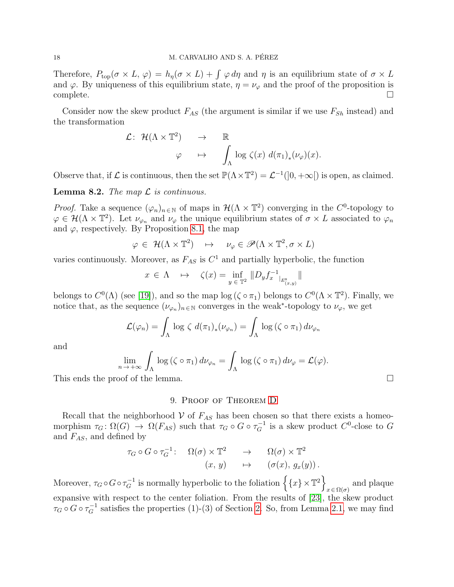Therefore,  $P_{\text{top}}(\sigma \times L, \varphi) = h_{\eta}(\sigma \times L) + \int \varphi d\eta$  and  $\eta$  is an equilibrium state of  $\sigma \times L$ and  $\varphi$ . By uniqueness of this equilibrium state,  $\eta = \nu_{\varphi}$  and the proof of the proposition is complete. □

Consider now the skew product  $F_{AS}$  (the argument is similar if we use  $F_{Sh}$  instead) and the transformation

$$
\mathcal{L}: \mathcal{H}(\Lambda \times \mathbb{T}^2) \rightarrow \mathbb{R} \downarrow \qquad \qquad \downarrow \qquad \qquad \downarrow \qquad \qquad \downarrow \qquad \qquad \downarrow \qquad \qquad \downarrow \qquad \downarrow \qquad \downarrow \qquad \downarrow \qquad \downarrow \qquad \downarrow \qquad \downarrow \qquad \downarrow \qquad \downarrow \qquad \downarrow \qquad \downarrow \qquad \downarrow \qquad \downarrow \qquad \downarrow \qquad \downarrow \qquad \downarrow \qquad \downarrow \qquad \downarrow \qquad \downarrow \qquad \downarrow \qquad \downarrow \qquad \downarrow \qquad \downarrow \qquad \downarrow \qquad \downarrow \qquad \downarrow \qquad \downarrow \qquad \downarrow \qquad \downarrow \qquad \downarrow \qquad \downarrow \qquad \downarrow \qquad \downarrow \qquad \downarrow \qquad \downarrow \qquad \downarrow \qquad \downarrow \qquad \downarrow \qquad \downarrow \qquad \downarrow \qquad \downarrow \qquad \downarrow \qquad \downarrow \qquad \downarrow \qquad \downarrow \qquad \downarrow \qquad \downarrow \qquad \downarrow \qquad \downarrow \qquad \downarrow \qquad \downarrow \qquad \downarrow \qquad \downarrow \qquad \downarrow \qquad \downarrow \qquad \downarrow \qquad \downarrow \qquad \downarrow \qquad \downarrow \qquad \downarrow \qquad \downarrow \qquad \downarrow \qquad \downarrow \qquad \downarrow \qquad \downarrow \qquad \downarrow \qquad \downarrow \qquad \downarrow \qquad \downarrow \qquad \downarrow \qquad \downarrow \qquad \downarrow \qquad \downarrow \qquad \downarrow \qquad \downarrow \qquad \downarrow \qquad \downarrow \qquad \downarrow \qquad \downarrow \qquad \downarrow \qquad \downarrow \qquad \downarrow \qquad \downarrow \qquad \downarrow \qquad \downarrow \qquad \downarrow \qquad \downarrow \qquad \downarrow \qquad \downarrow \qquad \downarrow \qquad \downarrow \qquad \downarrow \qquad \downarrow \qquad \downarrow \qquad \downarrow \qquad \downarrow \qquad \downarrow \qquad \downarrow \qquad \downarrow \qquad \downarrow \qquad \downarrow \qquad \downarrow \qquad \downarrow \qquad \downarrow \qquad \downarrow \qquad \downarrow \qquad \downarrow \qquad \downarrow \qquad \downarrow \qquad \downarrow \qquad \downarrow \qquad \downarrow \qquad \downarrow \qquad \downarrow \q
$$

Observe that, if L is continuous, then the set  $\mathbb{P}(\Lambda \times \mathbb{T}^2) = \mathcal{L}^{-1}(0, +\infty)$  is open, as claimed.

**Lemma 8.2.** The map  $\mathcal L$  is continuous.

*Proof.* Take a sequence  $(\varphi_n)_{n \in \mathbb{N}}$  of maps in  $\mathcal{H}(\Lambda \times \mathbb{T}^2)$  converging in the C<sup>0</sup>-topology to  $\varphi \in \mathcal{H}(\Lambda \times \mathbb{T}^2)$ . Let  $\nu_{\varphi_n}$  and  $\nu_{\varphi}$  the unique equilibrium states of  $\sigma \times L$  associated to  $\varphi_n$ and  $\varphi$ , respectively. By Proposition [8.1,](#page-16-1) the map

$$
\varphi \in \mathcal{H}(\Lambda \times \mathbb{T}^2) \quad \mapsto \quad \nu_{\varphi} \in \mathscr{P}(\Lambda \times \mathbb{T}^2, \sigma \times L)
$$

varies continuously. Moreover, as  $F_{AS}$  is  $C<sup>1</sup>$  and partially hyperbolic, the function

$$
x \in \Lambda \quad \mapsto \quad \zeta(x) = \inf_{y \in \mathbb{T}^2} \|D_y f_x^{-1}\|_{E_{(x,y)}^s} \|
$$

belongs to  $C^0(\Lambda)$  (see [\[19\]](#page-21-24)), and so the map  $\log (\zeta \circ \pi_1)$  belongs to  $C^0(\Lambda \times \mathbb{T}^2)$ . Finally, we notice that, as the sequence  $(\nu_{\varphi_n})_{n \in \mathbb{N}}$  converges in the weak<sup>\*</sup>-topology to  $\nu_{\varphi}$ , we get

$$
\mathcal{L}(\varphi_n) = \int_{\Lambda} \log \zeta \, d(\pi_1)_*(\nu_{\varphi_n}) = \int_{\Lambda} \log (\zeta \circ \pi_1) \, d\nu_{\varphi_n}
$$

and

$$
\lim_{n \to +\infty} \int_{\Lambda} \log(\zeta \circ \pi_1) d\nu_{\varphi_n} = \int_{\Lambda} \log(\zeta \circ \pi_1) d\nu_{\varphi} = \mathcal{L}(\varphi).
$$

This ends the proof of the lemma.  $\Box$ 

## 9. Proof of Theorem [D](#page-9-4)

<span id="page-17-0"></span>Recall that the neighborhood  $V$  of  $F_{AS}$  has been chosen so that there exists a homeomorphism  $\tau_G \colon \Omega(G) \to \Omega(F_{AS})$  such that  $\tau_G \circ G \circ \tau_G^{-1}$  is a skew product  $C^0$ -close to G and  $F_{AS}$ , and defined by

$$
\tau_G \circ G \circ \tau_G^{-1} : \quad \Omega(\sigma) \times \mathbb{T}^2 \quad \to \quad \Omega(\sigma) \times \mathbb{T}^2
$$

$$
(x, y) \quad \mapsto \quad (\sigma(x), g_x(y)).
$$

Moreover,  $\tau_G \circ G \circ \tau_G^{-1}$  is normally hyperbolic to the foliation  $\{x\} \times \mathbb{T}^2$  $x \in \Omega(\sigma)$  and plaque expansive with respect to the center foliation. From the results of [\[23\]](#page-21-7), the skew product  $\tau_G \circ G \circ \tau_G^{-1}$  satisfies the properties (1)-(3) of Section [2.](#page-2-0) So, from Lemma [2.1,](#page-3-1) we may find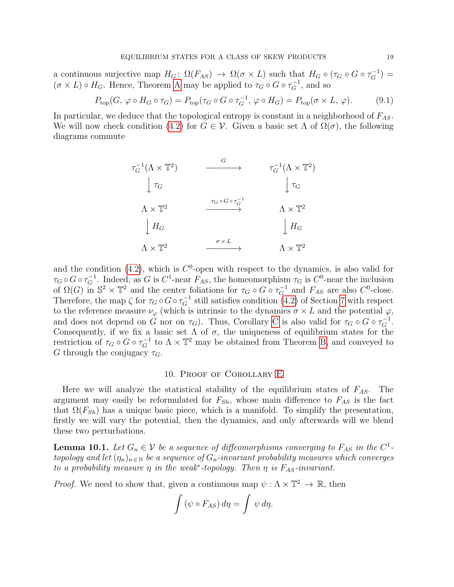a continuous surjective map  $H_G: \Omega(F_{AS}) \to \Omega(\sigma \times L)$  such that  $H_G \circ (\tau_G \circ G \circ \tau_G^{-1}) =$  $(\sigma \times L) \circ H_G$ . Hence, Theorem [A](#page-5-1) may be applied to  $\tau_G \circ G \circ \tau_G^{-1}$ , and so

<span id="page-18-2"></span>
$$
P_{\text{top}}(G, \varphi \circ H_G \circ \tau_G) = P_{\text{top}}(\tau_G \circ G \circ \tau_G^{-1}, \varphi \circ H_G) = P_{\text{top}}(\sigma \times L, \varphi). \tag{9.1}
$$

In particular, we deduce that the topological entropy is constant in a neighborhood of  $F_{AS}$ . We will now check condition [\(4.2\)](#page-7-0) for  $G \in \mathcal{V}$ . Given a basic set  $\Lambda$  of  $\Omega(\sigma)$ , the following diagrams commute

$$
\tau_G^{-1}(\Lambda \times \mathbb{T}^2) \longrightarrow \tau_G^{-1}(\Lambda \times \mathbb{T}^2)
$$
\n
$$
\downarrow \tau_G \qquad \qquad \downarrow \tau_G
$$
\n
$$
\Lambda \times \mathbb{T}^2 \qquad \xrightarrow{\tau_G \circ G \circ \tau_G^{-1}} \qquad \Lambda \times \mathbb{T}^2
$$
\n
$$
\downarrow H_G \qquad \qquad \downarrow H_G
$$
\n
$$
\Lambda \times \mathbb{T}^2 \qquad \xrightarrow{\sigma \times L} \qquad \Lambda \times \mathbb{T}^2
$$

and the condition [\(4.2\)](#page-7-0), which is  $C^0$ -open with respect to the dynamics, is also valid for  $\tau_G \circ G \circ \tau_G^{-1}$ . Indeed, as G is C<sup>1</sup>-near  $F_{AS}$ , the homeomorphism  $\tau_G$  is C<sup>0</sup>-near the inclusion of  $\Omega(G)$  in  $\mathbb{S}^2 \times \mathbb{T}^2$  and the center foliations for  $\tau_G \circ G \circ \tau_G^{-1}$  and  $F_{AS}$  are also  $C^0$ -close. Therefore, the map  $\zeta$  for  $\tau_G \circ G \circ \tau_G^{-1}$  still satisfies condition [\(4.2\)](#page-7-0) of Section [7](#page-12-1) with respect to the reference measure  $\nu_{\varphi}$  (which is intrinsic to the dynamics  $\sigma \times L$  and the potential  $\varphi$ , and does not depend on G nor on  $\tau_G$ ). Thus, [C](#page-8-0)orollary C is also valid for  $\tau_G \circ G \circ \tau_G^{-1}$ . Consequently, if we fix a basic set  $\Lambda$  of  $\sigma$ , the uniqueness of equilibrium states for the restriction of  $\tau_G \circ G \circ \tau_G^{-1}$  to  $\Lambda \times \mathbb{T}^2$  may be obtained from Theorem [B,](#page-6-0) and conveyed to G through the conjugacy  $\tau_G$ .

#### 10. Proof of Corollary [E](#page-9-5)

<span id="page-18-0"></span>Here we will analyze the statistical stability of the equilibrium states of  $F_{AS}$ . The argument may easily be reformulated for  $F_{Sh}$ , whose main difference to  $F_{AS}$  is the fact that  $\Omega(F_{Sh})$  has a unique basic piece, which is a manifold. To simplify the presentation, firstly we will vary the potential, then the dynamics, and only afterwards will we blend these two perturbations.

<span id="page-18-1"></span>**Lemma 10.1.** Let  $G_n \in V$  be a sequence of diffeomorphisms converging to  $F_{AS}$  in the  $C^1$ topology and let  $(\eta_n)_{n\in\mathbb{N}}$  be a sequence of  $G_n$ -invariant probability measures which converges to a probability measure  $\eta$  in the weak<sup>\*</sup>-topology. Then  $\eta$  is  $F_{AS}$ -invariant.

*Proof.* We need to show that, given a continuous map  $\psi : \Lambda \times \mathbb{T}^2 \to \mathbb{R}$ , then

$$
\int (\psi \circ F_{AS}) d\eta = \int \psi d\eta.
$$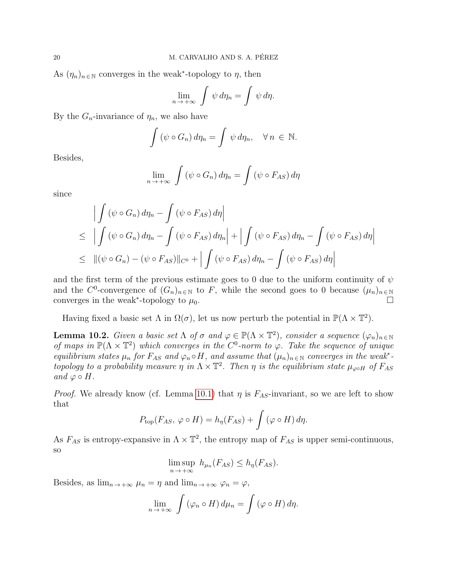As  $(\eta_n)_{n \in \mathbb{N}}$  converges in the weak<sup>\*</sup>-topology to  $\eta$ , then

$$
\lim_{n \to +\infty} \int \psi \, d\eta_n = \int \psi \, d\eta.
$$

By the  $G_n$ -invariance of  $\eta_n$ , we also have

$$
\int (\psi \circ G_n) d\eta_n = \int \psi d\eta_n, \quad \forall n \in \mathbb{N}.
$$

Besides,

$$
\lim_{n \to +\infty} \int (\psi \circ G_n) d\eta_n = \int (\psi \circ F_{AS}) d\eta
$$

since

$$
\left| \int (\psi \circ G_n) d\eta_n - \int (\psi \circ F_{AS}) d\eta \right|
$$
  
\n
$$
\leq \left| \int (\psi \circ G_n) d\eta_n - \int (\psi \circ F_{AS}) d\eta_n \right| + \left| \int (\psi \circ F_{AS}) d\eta_n - \int (\psi \circ F_{AS}) d\eta \right|
$$
  
\n
$$
\leq ||(\psi \circ G_n) - (\psi \circ F_{AS})||_{C^0} + \left| \int (\psi \circ F_{AS}) d\eta_n - \int (\psi \circ F_{AS}) d\eta \right|
$$

and the first term of the previous estimate goes to 0 due to the uniform continuity of  $\psi$ and the C<sup>0</sup>-convergence of  $(G_n)_{n\in\mathbb{N}}$  to F, while the second goes to 0 because  $(\mu_n)_{n\in\mathbb{N}}$ converges in the weak<sup>\*</sup>-topology to  $\mu_0$ .

Having fixed a basic set  $\Lambda$  in  $\Omega(\sigma)$ , let us now perturb the potential in  $\mathbb{P}(\Lambda \times \mathbb{T}^2)$ .

**Lemma 10.2.** Given a basic set  $\Lambda$  of  $\sigma$  and  $\varphi \in \mathbb{P}(\Lambda \times \mathbb{T}^2)$ , consider a sequence  $(\varphi_n)_{n \in \mathbb{N}}$ of maps in  $\mathbb{P}(\Lambda \times \mathbb{T}^2)$  which converges in the  $C^0$ -norm to  $\varphi$ . Take the sequence of unique equilibrium states  $\mu_n$  for  $F_{AS}$  and  $\varphi_n \circ H$ , and assume that  $(\mu_n)_{n \in \mathbb{N}}$  converges in the weak<sup>\*</sup>topology to a probability measure  $\eta$  in  $\Lambda \times \mathbb{T}^2$ . Then  $\eta$  is the equilibrium state  $\mu_{\varphi \circ H}$  of  $F_{AS}$ and  $\varphi \circ H$ .

*Proof.* We already know (cf. Lemma [10.1\)](#page-18-1) that  $\eta$  is  $F_{AS}$ -invariant, so we are left to show that

$$
P_{\text{top}}(F_{AS}, \varphi \circ H) = h_{\eta}(F_{AS}) + \int (\varphi \circ H) d\eta.
$$

As  $F_{AS}$  is entropy-expansive in  $\Lambda \times \mathbb{T}^2$ , the entropy map of  $F_{AS}$  is upper semi-continuous, so

$$
\limsup_{n \to +\infty} h_{\mu_n}(F_{AS}) \le h_{\eta}(F_{AS}).
$$

Besides, as  $\lim_{n \to +\infty} \mu_n = \eta$  and  $\lim_{n \to +\infty} \varphi_n = \varphi$ ,

$$
\lim_{n \to +\infty} \int (\varphi_n \circ H) d\mu_n = \int (\varphi \circ H) d\eta.
$$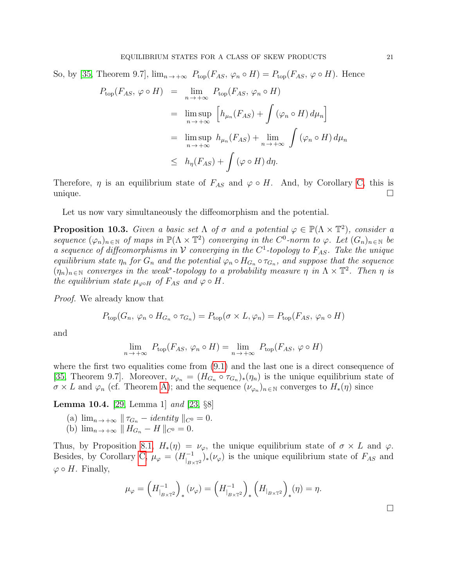So, by [\[35,](#page-22-7) Theorem 9.7],  $\lim_{n\to+\infty} P_{\text{top}}(F_{AS}, \varphi_n \circ H) = P_{\text{top}}(F_{AS}, \varphi \circ H)$ . Hence

$$
P_{\text{top}}(F_{AS}, \varphi \circ H) = \lim_{n \to +\infty} P_{\text{top}}(F_{AS}, \varphi_n \circ H)
$$
  
= 
$$
\limsup_{n \to +\infty} \left[ h_{\mu_n}(F_{AS}) + \int (\varphi_n \circ H) d\mu_n \right]
$$
  
= 
$$
\limsup_{n \to +\infty} h_{\mu_n}(F_{AS}) + \lim_{n \to +\infty} \int (\varphi_n \circ H) d\mu_n
$$
  

$$
\leq h_{\eta}(F_{AS}) + \int (\varphi \circ H) d\eta.
$$

Therefore,  $\eta$  is an equilibrium state of  $F_{AS}$  and  $\varphi \circ H$ . And, by Corollary [C,](#page-8-0) this is unique.

Let us now vary simultaneously the diffeomorphism and the potential.

**Proposition 10.3.** Given a basic set  $\Lambda$  of  $\sigma$  and a potential  $\varphi \in \mathbb{P}(\Lambda \times \mathbb{T}^2)$ , consider a sequence  $(\varphi_n)_{n \in \mathbb{N}}$  of maps in  $\mathbb{P}(\Lambda \times \mathbb{T}^2)$  converging in the  $C^0$ -norm to  $\varphi$ . Let  $(G_n)_{n \in \mathbb{N}}$  be a sequence of diffeomorphisms in  $\mathcal V$  converging in the  $C^1$ -topology to  $F_{AS}$ . Take the unique equilibrium state  $\eta_n$  for  $G_n$  and the potential  $\varphi_n \circ H_{G_n} \circ \tau_{G_n}$ , and suppose that the sequence  $(\eta_n)_{n \in \mathbb{N}}$  converges in the weak<sup>\*</sup>-topology to a probability measure  $\eta$  in  $\Lambda \times \mathbb{T}^2$ . Then  $\eta$  is the equilibrium state  $\mu_{\infty}$  of  $F_{AS}$  and  $\varphi \circ H$ .

Proof. We already know that

$$
P_{\text{top}}(G_n, \varphi_n \circ H_{G_n} \circ \tau_{G_n}) = P_{\text{top}}(\sigma \times L, \varphi_n) = P_{\text{top}}(F_{AS}, \varphi_n \circ H)
$$

and

$$
\lim_{n \to +\infty} P_{\text{top}}(F_{AS}, \varphi_n \circ H) = \lim_{n \to +\infty} P_{\text{top}}(F_{AS}, \varphi \circ H)
$$

where the first two equalities come from  $(9.1)$  and the last one is a direct consequence of [\[35,](#page-22-7) Theorem 9.7]. Moreover,  $\nu_{\varphi_n} = (H_{G_n} \circ \tau_{G_n})_*(\eta_n)$  is the unique equilibrium state of  $\sigma \times L$  and  $\varphi_n$  (cf. Theorem [A\)](#page-5-1); and the sequence  $(\nu_{\varphi_n})_{n \in \mathbb{N}}$  converges to  $H_*(\eta)$  since

Lemma 10.4. [\[29,](#page-22-3) Lemma 1] and [\[23,](#page-21-7) §8]

- (a)  $\lim_{n \to +\infty}$   $\|\tau_{G_n} identity\|_{C^0} = 0.$
- (b)  $\lim_{n \to +\infty} || H_{G_n} H ||_{C^0} = 0.$

Thus, by Proposition [8.1,](#page-16-1)  $H_*(\eta) = \nu_\varphi$ , the unique equilibrium state of  $\sigma \times L$  and  $\varphi$ . Besides, by Corollary [C,](#page-8-0)  $\mu_{\varphi} = (H_{\text{lin}}^{-1})$  $\binom{-1}{B \times T^2}$  ( $\nu_\varphi$ ) is the unique equilibrium state of  $F_{AS}$  and  $\varphi \circ H$ . Finally,

$$
\mu_{\varphi} = \left( H_{|_{B \times \mathbb{T}^2}}^{-1} \right)_* (\nu_{\varphi}) = \left( H_{|_{B \times \mathbb{T}^2}}^{-1} \right)_* \left( H_{|_{B \times \mathbb{T}^2}} \right)_* (\eta) = \eta.
$$

 $\Box$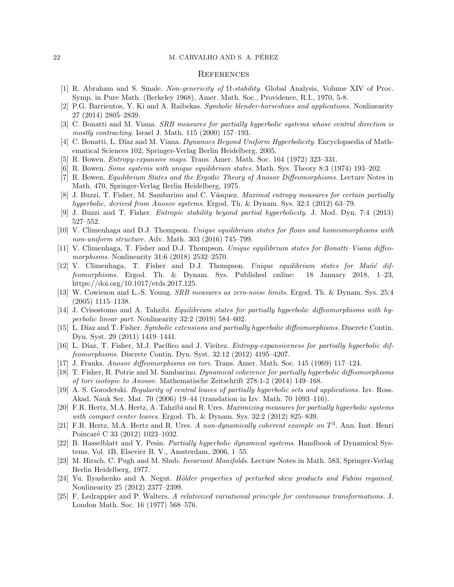### 22 M. CARVALHO AND S. A. PEREZ ´

#### **REFERENCES**

- <span id="page-21-0"></span>[1] R. Abraham and S. Smale. Non-genericity of Ω-stability. Global Analysis, Volume XIV of Proc. Symp. in Pure Math. (Berkeley 1968), Amer. Math. Soc., Providence, R.I., 1970, 5-8.
- <span id="page-21-12"></span>[2] P.G. Barrientos, Y. Ki and A. Raibekas. Symbolic blender-horseshoes and applications. Nonlinearity 27 (2014) 2805–2839.
- <span id="page-21-4"></span>[3] C. Bonatti and M. Viana. SRB measures for partially hyperbolic systems whose central direction is mostly contracting. Israel J. Math. 115 (2000) 157–193.
- <span id="page-21-18"></span>[4] C. Bonatti, L. Díaz and M. Viana. Dynamics Beyond Uniform Hyperbolicity. Encyclopaedia of Mathematical Sciences 102, Springer-Verlag Berlin Heidelberg, 2005.
- <span id="page-21-17"></span>[5] R. Bowen. Entropy-expansive maps. Trans. Amer. Math. Soc. 164 (1972) 323–331.
- <span id="page-21-2"></span>[6] R. Bowen. Some systems with unique equilibrium states. Math. Sys. Theory 8:3 (1974) 193–202.
- <span id="page-21-1"></span>[7] R. Bowen. Equilibrium States and the Ergodic Theory of Anosov Diffeomorphisms. Lecture Notes in Math. 470, Springer-Verlag Berlin Heidelberg, 1975.
- <span id="page-21-13"></span>[8] J. Buzzi, T. Fisher, M. Sambarino and C. Vásquez. *Maximal entropy measures for certain partially* hyperbolic, derived from Anosov systems. Ergod. Th. & Dynam. Sys. 32:1 (2012) 63–79.
- <span id="page-21-14"></span>[9] J. Buzzi and T. Fisher. Entropic stability beyond partial hyperbolicity. J. Mod. Dyn. 7:4 (2013) 527–552.
- <span id="page-21-3"></span>[10] V. Climenhaga and D.J. Thompson. Unique equilibrium states for flows and homeomorphisms with non-uniform structure. Adv. Math. 303 (2016) 745–799.
- <span id="page-21-5"></span>[11] V. Climenhaga, T. Fisher and D.J. Thompson. Unique equilibrium states for Bonatti–Viana diffeomorphisms. Nonlinearity 31:6 (2018) 2532–2570.
- <span id="page-21-6"></span>[12] V. Climenhaga, T. Fisher and D.J. Thompson. Unique equilibrium states for Mañé diffeomorphisms. Ergod. Th. & Dynam. Sys. Published online: 18 January 2018, 1–23, https://doi.org/10.1017/etds.2017.125.
- <span id="page-21-10"></span>[13] W. Cowieson and L.-S. Young. SRB measures as zero-noise limits. Ergod. Th. & Dynam. Sys. 25:4 (2005) 1115–1138.
- <span id="page-21-15"></span>[14] J. Crisostomo and A. Tahzibi. Equilibrium states for partially hyperbolic diffeomorphisms with hyperbolic linear part. Nonlinearity 32:2 (2019) 584–602.
- <span id="page-21-21"></span>[15] L. Díaz and T. Fisher. Symbolic extensions and partially hyperbolic diffeomorphisms. Discrete Contin. Dyn. Syst. 29 (2011) 1419–1441.
- <span id="page-21-22"></span>[16] L. Díaz, T. Fisher, M.J. Pacífico and J. Vieitez. *Entropy-expansiveness for partially hyperbolic dif*feomorphisms. Discrete Contin. Dyn. Syst. 32:12 (2012) 4195–4207.
- <span id="page-21-8"></span>[17] J. Franks. Anosov diffeomorphisms on tori. Trans. Amer. Math. Soc. 145 (1969) 117–124.
- <span id="page-21-16"></span>[18] T. Fisher, R. Potrie and M. Sambarino. Dynamical coherence for partially hyperbolic diffeomorphisms of tori isotopic to Anosov. Mathematische Zeitschrift 278:1-2 (2014) 149–168.
- <span id="page-21-24"></span>[19] A. S. Gorodetski. Regularity of central leaves of partially hyperbolic sets and applications. Izv. Ross. Akad. Nauk Ser. Mat. 70 (2006) 19–44 (translation in Izv. Math. 70 1093–116).
- <span id="page-21-23"></span>[20] F.R. Hertz, M.A. Hertz, A. Tahzibi and R. Ures. Maximizing measures for partially hyperbolic systems with compact center leaves. Ergod. Th. & Dynam. Sys. 32:2 (2012) 825–839.
- <span id="page-21-20"></span>[21] F.R. Hertz, M.A. Hertz and R. Ures. A non-dynamically coherent example on  $T^3$ . Ann. Inst. Henri Poincaré C 33 (2012) 1023-1032.
- <span id="page-21-19"></span>[22] B. Hasselblatt and Y. Pesin. Partially hyperbolic dynamical systems. Handbook of Dynamical Systems. Vol. 1B, Elsevier B. V., Amsterdam, 2006, 1–55.
- <span id="page-21-7"></span>[23] M. Hirsch, C. Pugh and M. Shub. Invariant Manifolds. Lecture Notes in Math. 583, Springer-Verlag Berlin Heidelberg, 1977.
- <span id="page-21-11"></span>[24] Yu. Ilyashenko and A. Negut. *Hölder properties of perturbed skew products and Fubini regained.* Nonlinearity 25 (2012) 2377–2399.
- <span id="page-21-9"></span>[25] F. Ledrappier and P. Walters. A relativized variational principle for continuous transformations. J. London Math. Soc. 16 (1977) 568–576.